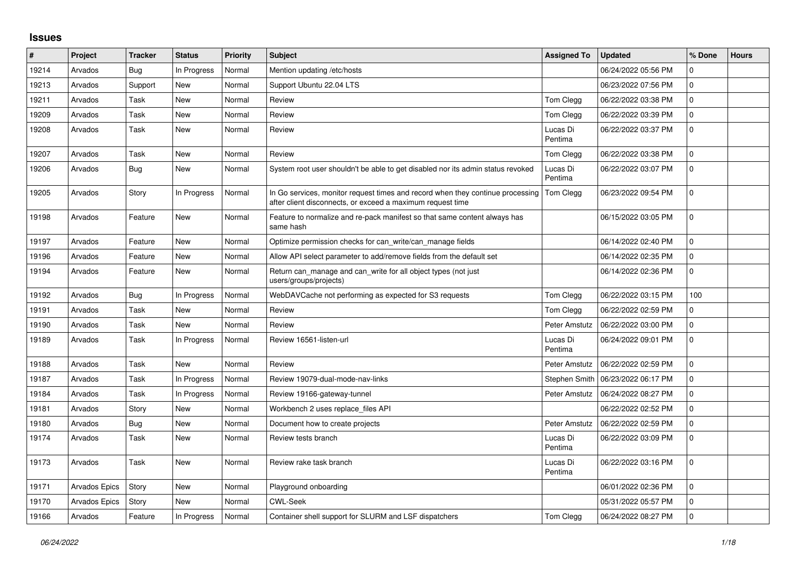## **Issues**

| $\vert$ # | Project       | <b>Tracker</b> | <b>Status</b> | Priority | <b>Subject</b>                                                                                                                               | <b>Assigned To</b>  | <b>Updated</b>      | % Done       | <b>Hours</b> |
|-----------|---------------|----------------|---------------|----------|----------------------------------------------------------------------------------------------------------------------------------------------|---------------------|---------------------|--------------|--------------|
| 19214     | Arvados       | Bug            | In Progress   | Normal   | Mention updating /etc/hosts                                                                                                                  |                     | 06/24/2022 05:56 PM | $\mathbf 0$  |              |
| 19213     | Arvados       | Support        | New           | Normal   | Support Ubuntu 22.04 LTS                                                                                                                     |                     | 06/23/2022 07:56 PM | 0            |              |
| 19211     | Arvados       | Task           | <b>New</b>    | Normal   | Review                                                                                                                                       | Tom Clegg           | 06/22/2022 03:38 PM | 0            |              |
| 19209     | Arvados       | Task           | <b>New</b>    | Normal   | Review                                                                                                                                       | Tom Clegg           | 06/22/2022 03:39 PM | $\mathbf{0}$ |              |
| 19208     | Arvados       | Task           | New           | Normal   | Review                                                                                                                                       | Lucas Di<br>Pentima | 06/22/2022 03:37 PM | $\mathbf 0$  |              |
| 19207     | Arvados       | Task           | <b>New</b>    | Normal   | Review                                                                                                                                       | Tom Clegg           | 06/22/2022 03:38 PM | $\mathbf 0$  |              |
| 19206     | Arvados       | Bug            | New           | Normal   | System root user shouldn't be able to get disabled nor its admin status revoked                                                              | Lucas Di<br>Pentima | 06/22/2022 03:07 PM | $\mathbf 0$  |              |
| 19205     | Arvados       | Story          | In Progress   | Normal   | In Go services, monitor request times and record when they continue processing<br>after client disconnects, or exceed a maximum request time | Tom Clegg           | 06/23/2022 09:54 PM | $\mathbf 0$  |              |
| 19198     | Arvados       | Feature        | New           | Normal   | Feature to normalize and re-pack manifest so that same content always has<br>same hash                                                       |                     | 06/15/2022 03:05 PM | $\Omega$     |              |
| 19197     | Arvados       | Feature        | New           | Normal   | Optimize permission checks for can write/can manage fields                                                                                   |                     | 06/14/2022 02:40 PM | $\mathbf 0$  |              |
| 19196     | Arvados       | Feature        | New           | Normal   | Allow API select parameter to add/remove fields from the default set                                                                         |                     | 06/14/2022 02:35 PM | $\mathbf 0$  |              |
| 19194     | Arvados       | Feature        | New           | Normal   | Return can manage and can write for all object types (not just<br>users/groups/projects)                                                     |                     | 06/14/2022 02:36 PM | $\mathbf 0$  |              |
| 19192     | Arvados       | Bug            | In Progress   | Normal   | WebDAVCache not performing as expected for S3 requests                                                                                       | Tom Clegg           | 06/22/2022 03:15 PM | 100          |              |
| 19191     | Arvados       | Task           | <b>New</b>    | Normal   | Review                                                                                                                                       | Tom Clegg           | 06/22/2022 02:59 PM | 0            |              |
| 19190     | Arvados       | Task           | <b>New</b>    | Normal   | Review                                                                                                                                       | Peter Amstutz       | 06/22/2022 03:00 PM | 0            |              |
| 19189     | Arvados       | Task           | In Progress   | Normal   | Review 16561-listen-url                                                                                                                      | Lucas Di<br>Pentima | 06/24/2022 09:01 PM | 0            |              |
| 19188     | Arvados       | Task           | <b>New</b>    | Normal   | Review                                                                                                                                       | Peter Amstutz       | 06/22/2022 02:59 PM | $\mathbf 0$  |              |
| 19187     | Arvados       | Task           | In Progress   | Normal   | Review 19079-dual-mode-nav-links                                                                                                             | Stephen Smith       | 06/23/2022 06:17 PM | $\Omega$     |              |
| 19184     | Arvados       | Task           | In Progress   | Normal   | Review 19166-gateway-tunnel                                                                                                                  | Peter Amstutz       | 06/24/2022 08:27 PM | 0            |              |
| 19181     | Arvados       | Story          | <b>New</b>    | Normal   | Workbench 2 uses replace_files API                                                                                                           |                     | 06/22/2022 02:52 PM | $\mathbf 0$  |              |
| 19180     | Arvados       | Bug            | New           | Normal   | Document how to create projects                                                                                                              | Peter Amstutz       | 06/22/2022 02:59 PM | $\mathbf 0$  |              |
| 19174     | Arvados       | Task           | New           | Normal   | Review tests branch                                                                                                                          | Lucas Di<br>Pentima | 06/22/2022 03:09 PM | $\Omega$     |              |
| 19173     | Arvados       | Task           | <b>New</b>    | Normal   | Review rake task branch                                                                                                                      | Lucas Di<br>Pentima | 06/22/2022 03:16 PM | $\Omega$     |              |
| 19171     | Arvados Epics | Story          | New           | Normal   | Playground onboarding                                                                                                                        |                     | 06/01/2022 02:36 PM | $\Omega$     |              |
| 19170     | Arvados Epics | Story          | <b>New</b>    | Normal   | <b>CWL-Seek</b>                                                                                                                              |                     | 05/31/2022 05:57 PM | 0            |              |
| 19166     | Arvados       | Feature        | In Progress   | Normal   | Container shell support for SLURM and LSF dispatchers                                                                                        | Tom Clegg           | 06/24/2022 08:27 PM | $\Omega$     |              |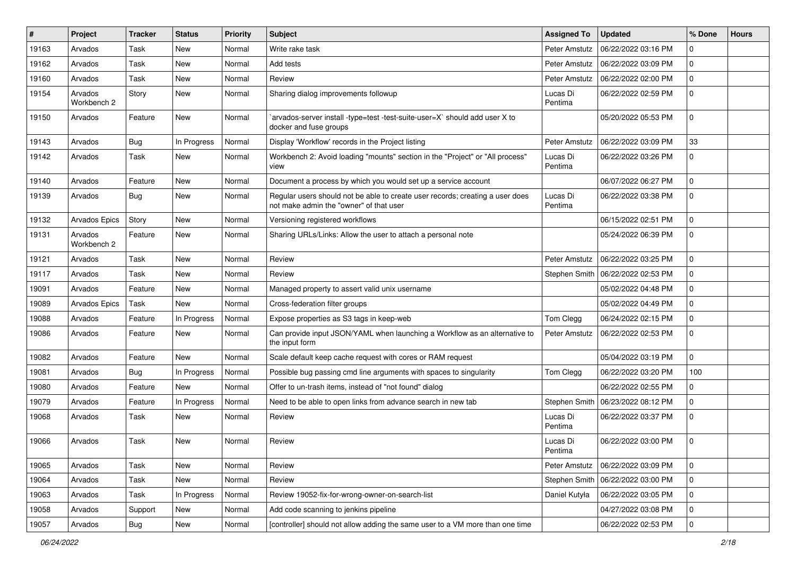| #     | Project                | <b>Tracker</b> | <b>Status</b> | <b>Priority</b> | <b>Subject</b>                                                                                                           | <b>Assigned To</b>   | <b>Updated</b>      | % Done       | <b>Hours</b> |
|-------|------------------------|----------------|---------------|-----------------|--------------------------------------------------------------------------------------------------------------------------|----------------------|---------------------|--------------|--------------|
| 19163 | Arvados                | Task           | <b>New</b>    | Normal          | Write rake task                                                                                                          | Peter Amstutz        | 06/22/2022 03:16 PM | 0            |              |
| 19162 | Arvados                | <b>Task</b>    | New           | Normal          | Add tests                                                                                                                | Peter Amstutz        | 06/22/2022 03:09 PM | 0            |              |
| 19160 | Arvados                | Task           | New           | Normal          | Review                                                                                                                   | Peter Amstutz        | 06/22/2022 02:00 PM | 0            |              |
| 19154 | Arvados<br>Workbench 2 | Story          | New           | Normal          | Sharing dialog improvements followup                                                                                     | Lucas Di<br>Pentima  | 06/22/2022 02:59 PM | 0            |              |
| 19150 | Arvados                | Feature        | New           | Normal          | arvados-server install -type=test -test-suite-user=X` should add user X to<br>docker and fuse groups                     |                      | 05/20/2022 05:53 PM | 0            |              |
| 19143 | Arvados                | Bug            | In Progress   | Normal          | Display 'Workflow' records in the Project listing                                                                        | Peter Amstutz        | 06/22/2022 03:09 PM | 33           |              |
| 19142 | Arvados                | Task           | New           | Normal          | Workbench 2: Avoid loading "mounts" section in the "Project" or "All process"<br>view                                    | Lucas Di<br>Pentima  | 06/22/2022 03:26 PM | 0            |              |
| 19140 | Arvados                | Feature        | <b>New</b>    | Normal          | Document a process by which you would set up a service account                                                           |                      | 06/07/2022 06:27 PM | 0            |              |
| 19139 | Arvados                | Bug            | New           | Normal          | Regular users should not be able to create user records; creating a user does<br>not make admin the "owner" of that user | Lucas Di<br>Pentima  | 06/22/2022 03:38 PM | 0            |              |
| 19132 | Arvados Epics          | Story          | <b>New</b>    | Normal          | Versioning registered workflows                                                                                          |                      | 06/15/2022 02:51 PM | 0            |              |
| 19131 | Arvados<br>Workbench 2 | Feature        | New           | Normal          | Sharing URLs/Links: Allow the user to attach a personal note                                                             |                      | 05/24/2022 06:39 PM | 0            |              |
| 19121 | Arvados                | Task           | <b>New</b>    | Normal          | Review                                                                                                                   | Peter Amstutz        | 06/22/2022 03:25 PM | 0            |              |
| 19117 | Arvados                | Task           | New           | Normal          | Review                                                                                                                   | Stephen Smith        | 06/22/2022 02:53 PM | 0            |              |
| 19091 | Arvados                | Feature        | New           | Normal          | Managed property to assert valid unix username                                                                           |                      | 05/02/2022 04:48 PM | $\mathbf{0}$ |              |
| 19089 | Arvados Epics          | Task           | New           | Normal          | Cross-federation filter groups                                                                                           |                      | 05/02/2022 04:49 PM | 0            |              |
| 19088 | Arvados                | Feature        | In Progress   | Normal          | Expose properties as S3 tags in keep-web                                                                                 | Tom Clegg            | 06/24/2022 02:15 PM | 0            |              |
| 19086 | Arvados                | Feature        | New           | Normal          | Can provide input JSON/YAML when launching a Workflow as an alternative to<br>the input form                             | Peter Amstutz        | 06/22/2022 02:53 PM | 0            |              |
| 19082 | Arvados                | Feature        | New           | Normal          | Scale default keep cache request with cores or RAM request                                                               |                      | 05/04/2022 03:19 PM | $\mathbf{0}$ |              |
| 19081 | Arvados                | Bug            | In Progress   | Normal          | Possible bug passing cmd line arguments with spaces to singularity                                                       | Tom Clegg            | 06/22/2022 03:20 PM | 100          |              |
| 19080 | Arvados                | Feature        | <b>New</b>    | Normal          | Offer to un-trash items, instead of "not found" dialog                                                                   |                      | 06/22/2022 02:55 PM | 0            |              |
| 19079 | Arvados                | Feature        | In Progress   | Normal          | Need to be able to open links from advance search in new tab                                                             | <b>Stephen Smith</b> | 06/23/2022 08:12 PM | 0            |              |
| 19068 | Arvados                | Task           | New           | Normal          | Review                                                                                                                   | Lucas Di<br>Pentima  | 06/22/2022 03:37 PM | 0            |              |
| 19066 | Arvados                | Task           | <b>New</b>    | Normal          | Review                                                                                                                   | Lucas Di<br>Pentima  | 06/22/2022 03:00 PM | 0            |              |
| 19065 | Arvados                | Task           | New           | Normal          | Review                                                                                                                   | Peter Amstutz        | 06/22/2022 03:09 PM | 0            |              |
| 19064 | Arvados                | Task           | New           | Normal          | Review                                                                                                                   | Stephen Smith        | 06/22/2022 03:00 PM | 0            |              |
| 19063 | Arvados                | Task           | In Progress   | Normal          | Review 19052-fix-for-wrong-owner-on-search-list                                                                          | Daniel Kutyła        | 06/22/2022 03:05 PM | 0            |              |
| 19058 | Arvados                | Support        | New           | Normal          | Add code scanning to jenkins pipeline                                                                                    |                      | 04/27/2022 03:08 PM | 0            |              |
| 19057 | Arvados                | <b>Bug</b>     | New           | Normal          | [controller] should not allow adding the same user to a VM more than one time                                            |                      | 06/22/2022 02:53 PM | 0            |              |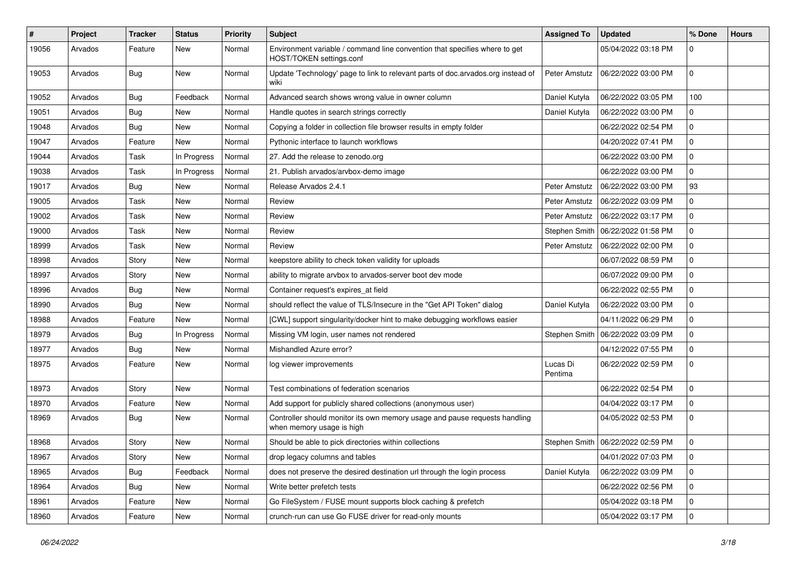| #     | Project | <b>Tracker</b> | <b>Status</b> | <b>Priority</b> | <b>Subject</b>                                                                                          | <b>Assigned To</b>  | <b>Updated</b>                      | % Done       | <b>Hours</b> |
|-------|---------|----------------|---------------|-----------------|---------------------------------------------------------------------------------------------------------|---------------------|-------------------------------------|--------------|--------------|
| 19056 | Arvados | Feature        | New           | Normal          | Environment variable / command line convention that specifies where to get<br>HOST/TOKEN settings.conf  |                     | 05/04/2022 03:18 PM                 | $\Omega$     |              |
| 19053 | Arvados | Bug            | New           | Normal          | Update 'Technology' page to link to relevant parts of doc.arvados.org instead of<br>wiki                | Peter Amstutz       | 06/22/2022 03:00 PM                 | 0            |              |
| 19052 | Arvados | Bug            | Feedback      | Normal          | Advanced search shows wrong value in owner column                                                       | Daniel Kutyła       | 06/22/2022 03:05 PM                 | 100          |              |
| 19051 | Arvados | Bug            | New           | Normal          | Handle quotes in search strings correctly                                                               | Daniel Kutyła       | 06/22/2022 03:00 PM                 | 0            |              |
| 19048 | Arvados | Bug            | <b>New</b>    | Normal          | Copying a folder in collection file browser results in empty folder                                     |                     | 06/22/2022 02:54 PM                 | 0            |              |
| 19047 | Arvados | Feature        | New           | Normal          | Pythonic interface to launch workflows                                                                  |                     | 04/20/2022 07:41 PM                 | 0            |              |
| 19044 | Arvados | Task           | In Progress   | Normal          | 27. Add the release to zenodo.org                                                                       |                     | 06/22/2022 03:00 PM                 | 0            |              |
| 19038 | Arvados | Task           | In Progress   | Normal          | 21. Publish arvados/arvbox-demo image                                                                   |                     | 06/22/2022 03:00 PM                 | 0            |              |
| 19017 | Arvados | Bug            | New           | Normal          | Release Arvados 2.4.1                                                                                   | Peter Amstutz       | 06/22/2022 03:00 PM                 | 93           |              |
| 19005 | Arvados | Task           | New           | Normal          | Review                                                                                                  | Peter Amstutz       | 06/22/2022 03:09 PM                 | 0            |              |
| 19002 | Arvados | Task           | New           | Normal          | Review                                                                                                  | Peter Amstutz       | 06/22/2022 03:17 PM                 | $\mathbf 0$  |              |
| 19000 | Arvados | Task           | New           | Normal          | Review                                                                                                  | Stephen Smith       | 06/22/2022 01:58 PM                 | 0            |              |
| 18999 | Arvados | Task           | <b>New</b>    | Normal          | Review                                                                                                  | Peter Amstutz       | 06/22/2022 02:00 PM                 | 0            |              |
| 18998 | Arvados | Story          | New           | Normal          | keepstore ability to check token validity for uploads                                                   |                     | 06/07/2022 08:59 PM                 | $\mathbf 0$  |              |
| 18997 | Arvados | Story          | New           | Normal          | ability to migrate arvbox to arvados-server boot dev mode                                               |                     | 06/07/2022 09:00 PM                 | $\mathbf 0$  |              |
| 18996 | Arvados | Bug            | New           | Normal          | Container request's expires_at field                                                                    |                     | 06/22/2022 02:55 PM                 | 0            |              |
| 18990 | Arvados | Bug            | New           | Normal          | should reflect the value of TLS/Insecure in the "Get API Token" dialog                                  | Daniel Kutyła       | 06/22/2022 03:00 PM                 | 0            |              |
| 18988 | Arvados | Feature        | <b>New</b>    | Normal          | [CWL] support singularity/docker hint to make debugging workflows easier                                |                     | 04/11/2022 06:29 PM                 | 0            |              |
| 18979 | Arvados | Bug            | In Progress   | Normal          | Missing VM login, user names not rendered                                                               | Stephen Smith       | 06/22/2022 03:09 PM                 | 0            |              |
| 18977 | Arvados | Bug            | <b>New</b>    | Normal          | Mishandled Azure error?                                                                                 |                     | 04/12/2022 07:55 PM                 | 0            |              |
| 18975 | Arvados | Feature        | <b>New</b>    | Normal          | log viewer improvements                                                                                 | Lucas Di<br>Pentima | 06/22/2022 02:59 PM                 | $\Omega$     |              |
| 18973 | Arvados | Story          | <b>New</b>    | Normal          | Test combinations of federation scenarios                                                               |                     | 06/22/2022 02:54 PM                 | $\mathbf 0$  |              |
| 18970 | Arvados | Feature        | New           | Normal          | Add support for publicly shared collections (anonymous user)                                            |                     | 04/04/2022 03:17 PM                 | $\mathbf 0$  |              |
| 18969 | Arvados | <b>Bug</b>     | New           | Normal          | Controller should monitor its own memory usage and pause requests handling<br>when memory usage is high |                     | 04/05/2022 02:53 PM                 | 0            |              |
| 18968 | Arvados | Story          | <b>New</b>    | Normal          | Should be able to pick directories within collections                                                   |                     | Stephen Smith   06/22/2022 02:59 PM | 0            |              |
| 18967 | Arvados | Story          | New           | Normal          | drop legacy columns and tables                                                                          |                     | 04/01/2022 07:03 PM                 | 0            |              |
| 18965 | Arvados | Bug            | Feedback      | Normal          | does not preserve the desired destination url through the login process                                 | Daniel Kutyła       | 06/22/2022 03:09 PM                 | $\mathbf 0$  |              |
| 18964 | Arvados | <b>Bug</b>     | New           | Normal          | Write better prefetch tests                                                                             |                     | 06/22/2022 02:56 PM                 | 0            |              |
| 18961 | Arvados | Feature        | New           | Normal          | Go FileSystem / FUSE mount supports block caching & prefetch                                            |                     | 05/04/2022 03:18 PM                 | $\mathbf 0$  |              |
| 18960 | Arvados | Feature        | New           | Normal          | crunch-run can use Go FUSE driver for read-only mounts                                                  |                     | 05/04/2022 03:17 PM                 | $\mathbf{0}$ |              |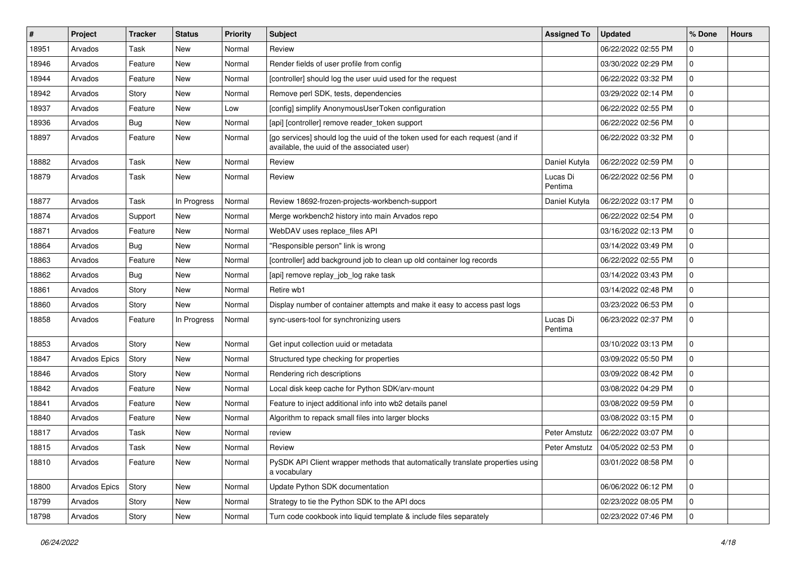| ∦     | Project       | <b>Tracker</b> | <b>Status</b> | <b>Priority</b> | Subject                                                                                                                     | <b>Assigned To</b>  | <b>Updated</b>                      | % Done       | <b>Hours</b> |
|-------|---------------|----------------|---------------|-----------------|-----------------------------------------------------------------------------------------------------------------------------|---------------------|-------------------------------------|--------------|--------------|
| 18951 | Arvados       | Task           | New           | Normal          | Review                                                                                                                      |                     | 06/22/2022 02:55 PM                 | 0            |              |
| 18946 | Arvados       | Feature        | <b>New</b>    | Normal          | Render fields of user profile from config                                                                                   |                     | 03/30/2022 02:29 PM                 | 0            |              |
| 18944 | Arvados       | Feature        | New           | Normal          | [controller] should log the user uuid used for the request                                                                  |                     | 06/22/2022 03:32 PM                 | 0            |              |
| 18942 | Arvados       | Story          | New           | Normal          | Remove perl SDK, tests, dependencies                                                                                        |                     | 03/29/2022 02:14 PM                 | 0            |              |
| 18937 | Arvados       | Feature        | New           | Low             | [config] simplify AnonymousUserToken configuration                                                                          |                     | 06/22/2022 02:55 PM                 | 0            |              |
| 18936 | Arvados       | Bug            | New           | Normal          | [api] [controller] remove reader_token support                                                                              |                     | 06/22/2022 02:56 PM                 | 0            |              |
| 18897 | Arvados       | Feature        | New           | Normal          | [go services] should log the uuid of the token used for each request (and if<br>available, the uuid of the associated user) |                     | 06/22/2022 03:32 PM                 | 0            |              |
| 18882 | Arvados       | Task           | New           | Normal          | Review                                                                                                                      | Daniel Kutyła       | 06/22/2022 02:59 PM                 | 0            |              |
| 18879 | Arvados       | Task           | <b>New</b>    | Normal          | Review                                                                                                                      | Lucas Di<br>Pentima | 06/22/2022 02:56 PM                 | 0            |              |
| 18877 | Arvados       | Task           | In Progress   | Normal          | Review 18692-frozen-projects-workbench-support                                                                              | Daniel Kutyła       | 06/22/2022 03:17 PM                 | 0            |              |
| 18874 | Arvados       | Support        | New           | Normal          | Merge workbench2 history into main Arvados repo                                                                             |                     | 06/22/2022 02:54 PM                 | 0            |              |
| 18871 | Arvados       | Feature        | New           | Normal          | WebDAV uses replace_files API                                                                                               |                     | 03/16/2022 02:13 PM                 | 0            |              |
| 18864 | Arvados       | Bug            | New           | Normal          | "Responsible person" link is wrong                                                                                          |                     | 03/14/2022 03:49 PM                 | 0            |              |
| 18863 | Arvados       | Feature        | New           | Normal          | [controller] add background job to clean up old container log records                                                       |                     | 06/22/2022 02:55 PM                 | $\mathbf{0}$ |              |
| 18862 | Arvados       | Bug            | New           | Normal          | [api] remove replay_job_log rake task                                                                                       |                     | 03/14/2022 03:43 PM                 | 0            |              |
| 18861 | Arvados       | Story          | New           | Normal          | Retire wb1                                                                                                                  |                     | 03/14/2022 02:48 PM                 | 0            |              |
| 18860 | Arvados       | Story          | New           | Normal          | Display number of container attempts and make it easy to access past logs                                                   |                     | 03/23/2022 06:53 PM                 | 0            |              |
| 18858 | Arvados       | Feature        | In Progress   | Normal          | sync-users-tool for synchronizing users                                                                                     | Lucas Di<br>Pentima | 06/23/2022 02:37 PM                 | 0            |              |
| 18853 | Arvados       | Story          | <b>New</b>    | Normal          | Get input collection uuid or metadata                                                                                       |                     | 03/10/2022 03:13 PM                 | 0            |              |
| 18847 | Arvados Epics | Story          | New           | Normal          | Structured type checking for properties                                                                                     |                     | 03/09/2022 05:50 PM                 | 0            |              |
| 18846 | Arvados       | Story          | New           | Normal          | Rendering rich descriptions                                                                                                 |                     | 03/09/2022 08:42 PM                 | 0            |              |
| 18842 | Arvados       | Feature        | New           | Normal          | Local disk keep cache for Python SDK/arv-mount                                                                              |                     | 03/08/2022 04:29 PM                 | 0            |              |
| 18841 | Arvados       | Feature        | New           | Normal          | Feature to inject additional info into wb2 details panel                                                                    |                     | 03/08/2022 09:59 PM                 | 0            |              |
| 18840 | Arvados       | Feature        | New           | Normal          | Algorithm to repack small files into larger blocks                                                                          |                     | 03/08/2022 03:15 PM                 | 0            |              |
| 18817 | Arvados       | Task           | New           | Normal          | review                                                                                                                      | Peter Amstutz       | 06/22/2022 03:07 PM                 | 0            |              |
| 18815 | Arvados       | Task           | New           | Normal          | Review                                                                                                                      |                     | Peter Amstutz   04/05/2022 02:53 PM | $\Omega$     |              |
| 18810 | Arvados       | Feature        | New           | Normal          | PySDK API Client wrapper methods that automatically translate properties using<br>a vocabulary                              |                     | 03/01/2022 08:58 PM                 | $\mathbf 0$  |              |
| 18800 | Arvados Epics | Story          | New           | Normal          | Update Python SDK documentation                                                                                             |                     | 06/06/2022 06:12 PM                 | $\mathbf 0$  |              |
| 18799 | Arvados       | Story          | New           | Normal          | Strategy to tie the Python SDK to the API docs                                                                              |                     | 02/23/2022 08:05 PM                 | 0            |              |
| 18798 | Arvados       | Story          | New           | Normal          | Turn code cookbook into liquid template & include files separately                                                          |                     | 02/23/2022 07:46 PM                 | $\mathbf 0$  |              |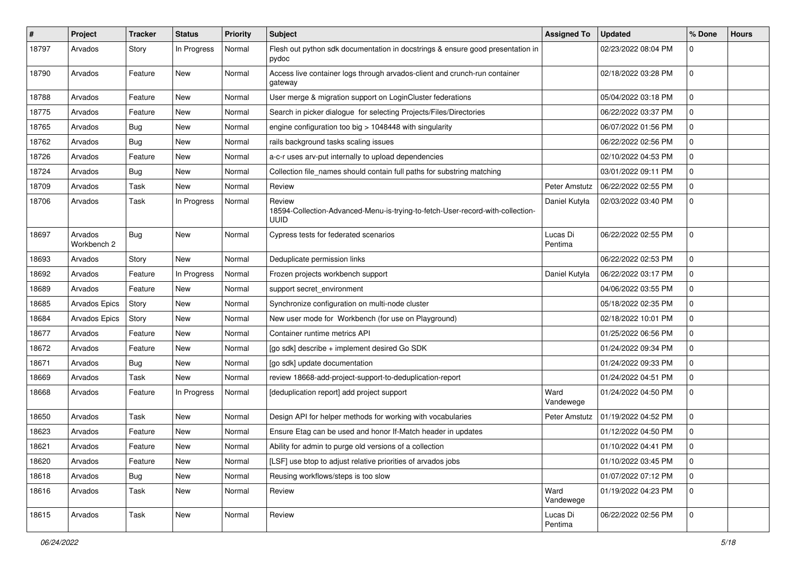| $\#$  | Project                | <b>Tracker</b> | <b>Status</b> | <b>Priority</b> | <b>Subject</b>                                                                                   | <b>Assigned To</b>  | <b>Updated</b>      | % Done      | <b>Hours</b> |
|-------|------------------------|----------------|---------------|-----------------|--------------------------------------------------------------------------------------------------|---------------------|---------------------|-------------|--------------|
| 18797 | Arvados                | Story          | In Progress   | Normal          | Flesh out python sdk documentation in docstrings & ensure good presentation in<br>pydoc          |                     | 02/23/2022 08:04 PM | 0           |              |
| 18790 | Arvados                | Feature        | New           | Normal          | Access live container logs through arvados-client and crunch-run container<br>gateway            |                     | 02/18/2022 03:28 PM | $\mathbf 0$ |              |
| 18788 | Arvados                | Feature        | New           | Normal          | User merge & migration support on LoginCluster federations                                       |                     | 05/04/2022 03:18 PM | 0           |              |
| 18775 | Arvados                | Feature        | New           | Normal          | Search in picker dialogue for selecting Projects/Files/Directories                               |                     | 06/22/2022 03:37 PM | 0           |              |
| 18765 | Arvados                | <b>Bug</b>     | New           | Normal          | engine configuration too big > 1048448 with singularity                                          |                     | 06/07/2022 01:56 PM | 0           |              |
| 18762 | Arvados                | Bug            | New           | Normal          | rails background tasks scaling issues                                                            |                     | 06/22/2022 02:56 PM | $\mathbf 0$ |              |
| 18726 | Arvados                | Feature        | New           | Normal          | a-c-r uses arv-put internally to upload dependencies                                             |                     | 02/10/2022 04:53 PM | 0           |              |
| 18724 | Arvados                | Bug            | <b>New</b>    | Normal          | Collection file_names should contain full paths for substring matching                           |                     | 03/01/2022 09:11 PM | 0           |              |
| 18709 | Arvados                | Task           | <b>New</b>    | Normal          | Review                                                                                           | Peter Amstutz       | 06/22/2022 02:55 PM | 0           |              |
| 18706 | Arvados                | Task           | In Progress   | Normal          | Review<br>18594-Collection-Advanced-Menu-is-trying-to-fetch-User-record-with-collection-<br>uuid | Daniel Kutyła       | 02/03/2022 03:40 PM | 0           |              |
| 18697 | Arvados<br>Workbench 2 | Bug            | New           | Normal          | Cypress tests for federated scenarios                                                            | Lucas Di<br>Pentima | 06/22/2022 02:55 PM | $\mathbf 0$ |              |
| 18693 | Arvados                | Story          | New           | Normal          | Deduplicate permission links                                                                     |                     | 06/22/2022 02:53 PM | 0           |              |
| 18692 | Arvados                | Feature        | In Progress   | Normal          | Frozen projects workbench support                                                                | Daniel Kutyła       | 06/22/2022 03:17 PM | 0           |              |
| 18689 | Arvados                | Feature        | New           | Normal          | support secret_environment                                                                       |                     | 04/06/2022 03:55 PM | $\mathbf 0$ |              |
| 18685 | Arvados Epics          | Story          | New           | Normal          | Synchronize configuration on multi-node cluster                                                  |                     | 05/18/2022 02:35 PM | 0           |              |
| 18684 | Arvados Epics          | Story          | New           | Normal          | New user mode for Workbench (for use on Playground)                                              |                     | 02/18/2022 10:01 PM | 0           |              |
| 18677 | Arvados                | Feature        | New           | Normal          | Container runtime metrics API                                                                    |                     | 01/25/2022 06:56 PM | 0           |              |
| 18672 | Arvados                | Feature        | New           | Normal          | [go sdk] describe + implement desired Go SDK                                                     |                     | 01/24/2022 09:34 PM | 0           |              |
| 18671 | Arvados                | Bug            | New           | Normal          | [go sdk] update documentation                                                                    |                     | 01/24/2022 09:33 PM | 0           |              |
| 18669 | Arvados                | Task           | New           | Normal          | review 18668-add-project-support-to-deduplication-report                                         |                     | 01/24/2022 04:51 PM | 0           |              |
| 18668 | Arvados                | Feature        | In Progress   | Normal          | [deduplication report] add project support                                                       | Ward<br>Vandewege   | 01/24/2022 04:50 PM | 0           |              |
| 18650 | Arvados                | Task           | New           | Normal          | Design API for helper methods for working with vocabularies                                      | Peter Amstutz       | 01/19/2022 04:52 PM | $\mathbf 0$ |              |
| 18623 | Arvados                | Feature        | New           | Normal          | Ensure Etag can be used and honor If-Match header in updates                                     |                     | 01/12/2022 04:50 PM | 0           |              |
| 18621 | Arvados                | Feature        | New           | Normal          | Ability for admin to purge old versions of a collection                                          |                     | 01/10/2022 04:41 PM | $\mathbf 0$ |              |
| 18620 | Arvados                | Feature        | New           | Normal          | [LSF] use btop to adjust relative priorities of arvados jobs                                     |                     | 01/10/2022 03:45 PM | $\mathbf 0$ |              |
| 18618 | Arvados                | <b>Bug</b>     | New           | Normal          | Reusing workflows/steps is too slow                                                              |                     | 01/07/2022 07:12 PM | $\mathbf 0$ |              |
| 18616 | Arvados                | Task           | New           | Normal          | Review                                                                                           | Ward<br>Vandewege   | 01/19/2022 04:23 PM | $\mathbf 0$ |              |
| 18615 | Arvados                | Task           | New           | Normal          | Review                                                                                           | Lucas Di<br>Pentima | 06/22/2022 02:56 PM | $\mathbf 0$ |              |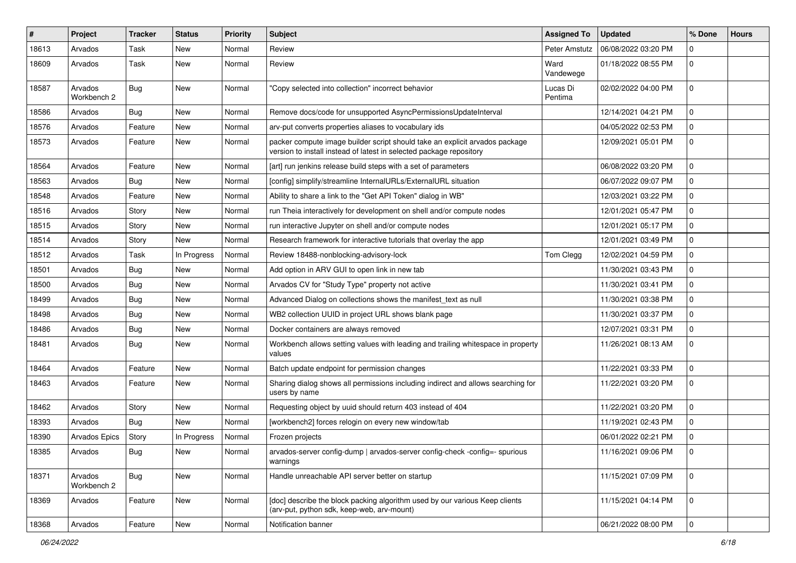| #     | Project                | <b>Tracker</b> | <b>Status</b> | <b>Priority</b> | Subject                                                                                                                                            | <b>Assigned To</b>  | <b>Updated</b>      | % Done       | <b>Hours</b> |
|-------|------------------------|----------------|---------------|-----------------|----------------------------------------------------------------------------------------------------------------------------------------------------|---------------------|---------------------|--------------|--------------|
| 18613 | Arvados                | Task           | New           | Normal          | Review                                                                                                                                             | Peter Amstutz       | 06/08/2022 03:20 PM | 0            |              |
| 18609 | Arvados                | <b>Task</b>    | <b>New</b>    | Normal          | Review                                                                                                                                             | Ward<br>Vandewege   | 01/18/2022 08:55 PM | 0            |              |
| 18587 | Arvados<br>Workbench 2 | Bug            | New           | Normal          | "Copy selected into collection" incorrect behavior                                                                                                 | Lucas Di<br>Pentima | 02/02/2022 04:00 PM | 0            |              |
| 18586 | Arvados                | Bug            | <b>New</b>    | Normal          | Remove docs/code for unsupported AsyncPermissionsUpdateInterval                                                                                    |                     | 12/14/2021 04:21 PM | 0            |              |
| 18576 | Arvados                | Feature        | <b>New</b>    | Normal          | arv-put converts properties aliases to vocabulary ids                                                                                              |                     | 04/05/2022 02:53 PM | 0            |              |
| 18573 | Arvados                | Feature        | New           | Normal          | packer compute image builder script should take an explicit arvados package<br>version to install instead of latest in selected package repository |                     | 12/09/2021 05:01 PM | 0            |              |
| 18564 | Arvados                | Feature        | <b>New</b>    | Normal          | [art] run jenkins release build steps with a set of parameters                                                                                     |                     | 06/08/2022 03:20 PM | $\mathbf{0}$ |              |
| 18563 | Arvados                | Bug            | New           | Normal          | [config] simplify/streamline InternalURLs/ExternalURL situation                                                                                    |                     | 06/07/2022 09:07 PM | $\mathbf{0}$ |              |
| 18548 | Arvados                | Feature        | New           | Normal          | Ability to share a link to the "Get API Token" dialog in WB"                                                                                       |                     | 12/03/2021 03:22 PM | 0            |              |
| 18516 | Arvados                | Story          | <b>New</b>    | Normal          | run Theia interactively for development on shell and/or compute nodes                                                                              |                     | 12/01/2021 05:47 PM | 0            |              |
| 18515 | Arvados                | Story          | <b>New</b>    | Normal          | run interactive Jupyter on shell and/or compute nodes                                                                                              |                     | 12/01/2021 05:17 PM | 0            |              |
| 18514 | Arvados                | Story          | <b>New</b>    | Normal          | Research framework for interactive tutorials that overlay the app                                                                                  |                     | 12/01/2021 03:49 PM | 0            |              |
| 18512 | Arvados                | Task           | In Progress   | Normal          | Review 18488-nonblocking-advisory-lock                                                                                                             | Tom Clegg           | 12/02/2021 04:59 PM | $\mathbf{0}$ |              |
| 18501 | Arvados                | Bug            | New           | Normal          | Add option in ARV GUI to open link in new tab                                                                                                      |                     | 11/30/2021 03:43 PM | 0            |              |
| 18500 | Arvados                | Bug            | <b>New</b>    | Normal          | Arvados CV for "Study Type" property not active                                                                                                    |                     | 11/30/2021 03:41 PM | 0            |              |
| 18499 | Arvados                | Bug            | New           | Normal          | Advanced Dialog on collections shows the manifest text as null                                                                                     |                     | 11/30/2021 03:38 PM | 0            |              |
| 18498 | Arvados                | Bug            | <b>New</b>    | Normal          | WB2 collection UUID in project URL shows blank page                                                                                                |                     | 11/30/2021 03:37 PM | 0            |              |
| 18486 | Arvados                | Bug            | New           | Normal          | Docker containers are always removed                                                                                                               |                     | 12/07/2021 03:31 PM | $\mathbf{0}$ |              |
| 18481 | Arvados                | Bug            | New           | Normal          | Workbench allows setting values with leading and trailing whitespace in property<br>values                                                         |                     | 11/26/2021 08:13 AM | 0            |              |
| 18464 | Arvados                | Feature        | <b>New</b>    | Normal          | Batch update endpoint for permission changes                                                                                                       |                     | 11/22/2021 03:33 PM | $\mathbf{0}$ |              |
| 18463 | Arvados                | Feature        | New           | Normal          | Sharing dialog shows all permissions including indirect and allows searching for<br>users by name                                                  |                     | 11/22/2021 03:20 PM | 0            |              |
| 18462 | Arvados                | Story          | New           | Normal          | Requesting object by uuid should return 403 instead of 404                                                                                         |                     | 11/22/2021 03:20 PM | 0            |              |
| 18393 | Arvados                | Bug            | <b>New</b>    | Normal          | [workbench2] forces relogin on every new window/tab                                                                                                |                     | 11/19/2021 02:43 PM | 0            |              |
| 18390 | Arvados Epics          | Story          | In Progress   | Normal          | Frozen projects                                                                                                                                    |                     | 06/01/2022 02:21 PM | 0            |              |
| 18385 | Arvados                | <b>Bug</b>     | New           | Normal          | arvados-server config-dump   arvados-server config-check -config=- spurious<br>warnings                                                            |                     | 11/16/2021 09:06 PM |              |              |
| 18371 | Arvados<br>Workbench 2 | <b>Bug</b>     | New           | Normal          | Handle unreachable API server better on startup                                                                                                    |                     | 11/15/2021 07:09 PM | $\mathbf 0$  |              |
| 18369 | Arvados                | Feature        | New           | Normal          | [doc] describe the block packing algorithm used by our various Keep clients<br>(arv-put, python sdk, keep-web, arv-mount)                          |                     | 11/15/2021 04:14 PM | $\mathbf 0$  |              |
| 18368 | Arvados                | Feature        | New           | Normal          | Notification banner                                                                                                                                |                     | 06/21/2022 08:00 PM | $\mathbf{0}$ |              |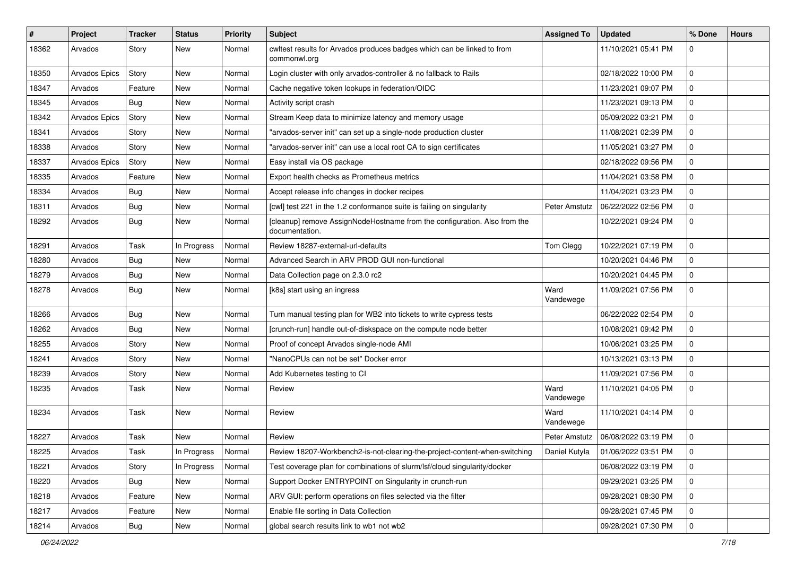| #     | Project              | <b>Tracker</b> | <b>Status</b> | <b>Priority</b> | Subject                                                                                     | <b>Assigned To</b> | <b>Updated</b>      | % Done      | <b>Hours</b> |
|-------|----------------------|----------------|---------------|-----------------|---------------------------------------------------------------------------------------------|--------------------|---------------------|-------------|--------------|
| 18362 | Arvados              | Story          | New           | Normal          | cwltest results for Arvados produces badges which can be linked to from<br>commonwl.org     |                    | 11/10/2021 05:41 PM | 0           |              |
| 18350 | <b>Arvados Epics</b> | Story          | New           | Normal          | Login cluster with only arvados-controller & no fallback to Rails                           |                    | 02/18/2022 10:00 PM | 0           |              |
| 18347 | Arvados              | Feature        | New           | Normal          | Cache negative token lookups in federation/OIDC                                             |                    | 11/23/2021 09:07 PM | 0           |              |
| 18345 | Arvados              | Bug            | <b>New</b>    | Normal          | Activity script crash                                                                       |                    | 11/23/2021 09:13 PM | 0           |              |
| 18342 | <b>Arvados Epics</b> | Story          | New           | Normal          | Stream Keep data to minimize latency and memory usage                                       |                    | 05/09/2022 03:21 PM | 0           |              |
| 18341 | Arvados              | Story          | New           | Normal          | "arvados-server init" can set up a single-node production cluster                           |                    | 11/08/2021 02:39 PM | 0           |              |
| 18338 | Arvados              | Story          | <b>New</b>    | Normal          | "arvados-server init" can use a local root CA to sign certificates                          |                    | 11/05/2021 03:27 PM | 0           |              |
| 18337 | Arvados Epics        | Story          | New           | Normal          | Easy install via OS package                                                                 |                    | 02/18/2022 09:56 PM | 0           |              |
| 18335 | Arvados              | Feature        | <b>New</b>    | Normal          | Export health checks as Prometheus metrics                                                  |                    | 11/04/2021 03:58 PM | 0           |              |
| 18334 | Arvados              | Bug            | New           | Normal          | Accept release info changes in docker recipes                                               |                    | 11/04/2021 03:23 PM | 0           |              |
| 18311 | Arvados              | Bug            | New           | Normal          | [cwl] test 221 in the 1.2 conformance suite is failing on singularity                       | Peter Amstutz      | 06/22/2022 02:56 PM | 0           |              |
| 18292 | Arvados              | Bug            | New           | Normal          | [cleanup] remove AssignNodeHostname from the configuration. Also from the<br>documentation. |                    | 10/22/2021 09:24 PM | 0           |              |
| 18291 | Arvados              | Task           | In Progress   | Normal          | Review 18287-external-url-defaults                                                          | Tom Clegg          | 10/22/2021 07:19 PM | 0           |              |
| 18280 | Arvados              | Bug            | New           | Normal          | Advanced Search in ARV PROD GUI non-functional                                              |                    | 10/20/2021 04:46 PM | 0           |              |
| 18279 | Arvados              | Bug            | New           | Normal          | Data Collection page on 2.3.0 rc2                                                           |                    | 10/20/2021 04:45 PM | 0           |              |
| 18278 | Arvados              | Bug            | New           | Normal          | [k8s] start using an ingress                                                                | Ward<br>Vandewege  | 11/09/2021 07:56 PM | 0           |              |
| 18266 | Arvados              | Bug            | New           | Normal          | Turn manual testing plan for WB2 into tickets to write cypress tests                        |                    | 06/22/2022 02:54 PM | 0           |              |
| 18262 | Arvados              | Bug            | New           | Normal          | [crunch-run] handle out-of-diskspace on the compute node better                             |                    | 10/08/2021 09:42 PM | 0           |              |
| 18255 | Arvados              | Story          | New           | Normal          | Proof of concept Arvados single-node AMI                                                    |                    | 10/06/2021 03:25 PM | 0           |              |
| 18241 | Arvados              | Story          | New           | Normal          | "NanoCPUs can not be set" Docker error                                                      |                    | 10/13/2021 03:13 PM | 0           |              |
| 18239 | Arvados              | Story          | New           | Normal          | Add Kubernetes testing to CI                                                                |                    | 11/09/2021 07:56 PM | 0           |              |
| 18235 | Arvados              | Task           | New           | Normal          | Review                                                                                      | Ward<br>Vandewege  | 11/10/2021 04:05 PM | 0           |              |
| 18234 | Arvados              | Task           | <b>New</b>    | Normal          | Review                                                                                      | Ward<br>Vandewege  | 11/10/2021 04:14 PM | 0           |              |
| 18227 | Arvados              | Task           | <b>New</b>    | Normal          | Review                                                                                      | Peter Amstutz      | 06/08/2022 03:19 PM | 0           |              |
| 18225 | Arvados              | Task           | In Progress   | Normal          | Review 18207-Workbench2-is-not-clearing-the-project-content-when-switching                  | Daniel Kutyła      | 01/06/2022 03:51 PM | $\mathbf 0$ |              |
| 18221 | Arvados              | Story          | In Progress   | Normal          | Test coverage plan for combinations of slurm/lsf/cloud singularity/docker                   |                    | 06/08/2022 03:19 PM | 0           |              |
| 18220 | Arvados              | <b>Bug</b>     | New           | Normal          | Support Docker ENTRYPOINT on Singularity in crunch-run                                      |                    | 09/29/2021 03:25 PM | $\mathbf 0$ |              |
| 18218 | Arvados              | Feature        | New           | Normal          | ARV GUI: perform operations on files selected via the filter                                |                    | 09/28/2021 08:30 PM | 0           |              |
| 18217 | Arvados              | Feature        | New           | Normal          | Enable file sorting in Data Collection                                                      |                    | 09/28/2021 07:45 PM | $\mathbf 0$ |              |
| 18214 | Arvados              | Bug            | New           | Normal          | global search results link to wb1 not wb2                                                   |                    | 09/28/2021 07:30 PM | 0           |              |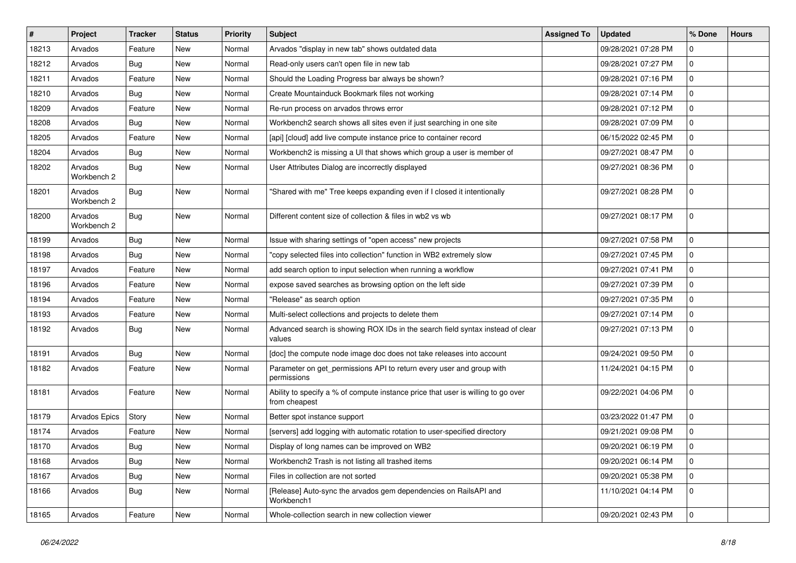| $\vert$ # | Project                | <b>Tracker</b> | <b>Status</b> | <b>Priority</b> | Subject                                                                                           | <b>Assigned To</b> | <b>Updated</b>      | % Done       | <b>Hours</b> |
|-----------|------------------------|----------------|---------------|-----------------|---------------------------------------------------------------------------------------------------|--------------------|---------------------|--------------|--------------|
| 18213     | Arvados                | Feature        | New           | Normal          | Arvados "display in new tab" shows outdated data                                                  |                    | 09/28/2021 07:28 PM | 0            |              |
| 18212     | Arvados                | Bug            | <b>New</b>    | Normal          | Read-only users can't open file in new tab                                                        |                    | 09/28/2021 07:27 PM | 0            |              |
| 18211     | Arvados                | Feature        | New           | Normal          | Should the Loading Progress bar always be shown?                                                  |                    | 09/28/2021 07:16 PM | $\mathbf{0}$ |              |
| 18210     | Arvados                | Bug            | New           | Normal          | Create Mountainduck Bookmark files not working                                                    |                    | 09/28/2021 07:14 PM | 0            |              |
| 18209     | Arvados                | Feature        | <b>New</b>    | Normal          | Re-run process on arvados throws error                                                            |                    | 09/28/2021 07:12 PM | 0            |              |
| 18208     | Arvados                | Bug            | New           | Normal          | Workbench2 search shows all sites even if just searching in one site                              |                    | 09/28/2021 07:09 PM | 0            |              |
| 18205     | Arvados                | Feature        | <b>New</b>    | Normal          | [api] [cloud] add live compute instance price to container record                                 |                    | 06/15/2022 02:45 PM | 0            |              |
| 18204     | Arvados                | Bug            | <b>New</b>    | Normal          | Workbench2 is missing a UI that shows which group a user is member of                             |                    | 09/27/2021 08:47 PM | 0            |              |
| 18202     | Arvados<br>Workbench 2 | Bug            | New           | Normal          | User Attributes Dialog are incorrectly displayed                                                  |                    | 09/27/2021 08:36 PM | 0            |              |
| 18201     | Arvados<br>Workbench 2 | Bug            | New           | Normal          | "Shared with me" Tree keeps expanding even if I closed it intentionally                           |                    | 09/27/2021 08:28 PM | 0            |              |
| 18200     | Arvados<br>Workbench 2 | Bug            | <b>New</b>    | Normal          | Different content size of collection & files in wb2 vs wb                                         |                    | 09/27/2021 08:17 PM | 0            |              |
| 18199     | Arvados                | Bug            | <b>New</b>    | Normal          | Issue with sharing settings of "open access" new projects                                         |                    | 09/27/2021 07:58 PM | 0            |              |
| 18198     | Arvados                | Bug            | New           | Normal          | "copy selected files into collection" function in WB2 extremely slow                              |                    | 09/27/2021 07:45 PM | 0            |              |
| 18197     | Arvados                | Feature        | New           | Normal          | add search option to input selection when running a workflow                                      |                    | 09/27/2021 07:41 PM | 0            |              |
| 18196     | Arvados                | Feature        | New           | Normal          | expose saved searches as browsing option on the left side                                         |                    | 09/27/2021 07:39 PM | 0            |              |
| 18194     | Arvados                | Feature        | New           | Normal          | "Release" as search option                                                                        |                    | 09/27/2021 07:35 PM | $\mathbf{0}$ |              |
| 18193     | Arvados                | Feature        | New           | Normal          | Multi-select collections and projects to delete them                                              |                    | 09/27/2021 07:14 PM | 0            |              |
| 18192     | Arvados                | <b>Bug</b>     | <b>New</b>    | Normal          | Advanced search is showing ROX IDs in the search field syntax instead of clear<br>values          |                    | 09/27/2021 07:13 PM | 0            |              |
| 18191     | Arvados                | Bug            | <b>New</b>    | Normal          | [doc] the compute node image doc does not take releases into account                              |                    | 09/24/2021 09:50 PM | $\mathbf 0$  |              |
| 18182     | Arvados                | Feature        | New           | Normal          | Parameter on get_permissions API to return every user and group with<br>permissions               |                    | 11/24/2021 04:15 PM | 0            |              |
| 18181     | Arvados                | Feature        | <b>New</b>    | Normal          | Ability to specify a % of compute instance price that user is willing to go over<br>from cheapest |                    | 09/22/2021 04:06 PM | 0            |              |
| 18179     | Arvados Epics          | Story          | New           | Normal          | Better spot instance support                                                                      |                    | 03/23/2022 01:47 PM | 0            |              |
| 18174     | Arvados                | Feature        | <b>New</b>    | Normal          | [servers] add logging with automatic rotation to user-specified directory                         |                    | 09/21/2021 09:08 PM | 0            |              |
| 18170     | Arvados                | Bug            | New           | Normal          | Display of long names can be improved on WB2                                                      |                    | 09/20/2021 06:19 PM | $\Omega$     |              |
| 18168     | Arvados                | Bug            | New           | Normal          | Workbench2 Trash is not listing all trashed items                                                 |                    | 09/20/2021 06:14 PM | 0            |              |
| 18167     | Arvados                | Bug            | New           | Normal          | Files in collection are not sorted                                                                |                    | 09/20/2021 05:38 PM | $\mathbf 0$  |              |
| 18166     | Arvados                | Bug            | New           | Normal          | [Release] Auto-sync the arvados gem dependencies on RailsAPI and<br>Workbench1                    |                    | 11/10/2021 04:14 PM | $\mathbf{0}$ |              |
| 18165     | Arvados                | Feature        | New           | Normal          | Whole-collection search in new collection viewer                                                  |                    | 09/20/2021 02:43 PM | $\mathbf{0}$ |              |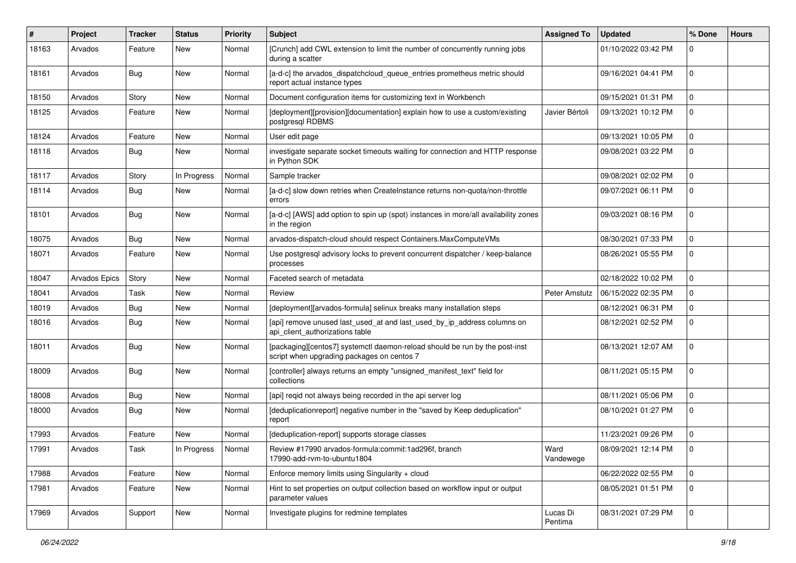| #     | Project              | <b>Tracker</b> | <b>Status</b> | <b>Priority</b> | Subject                                                                                                                   | <b>Assigned To</b>  | <b>Updated</b>      | % Done       | <b>Hours</b> |
|-------|----------------------|----------------|---------------|-----------------|---------------------------------------------------------------------------------------------------------------------------|---------------------|---------------------|--------------|--------------|
| 18163 | Arvados              | Feature        | New           | Normal          | [Crunch] add CWL extension to limit the number of concurrently running jobs<br>during a scatter                           |                     | 01/10/2022 03:42 PM | 0            |              |
| 18161 | Arvados              | Bug            | New           | Normal          | [a-d-c] the arvados_dispatchcloud_queue_entries prometheus metric should<br>report actual instance types                  |                     | 09/16/2021 04:41 PM | 0            |              |
| 18150 | Arvados              | Story          | <b>New</b>    | Normal          | Document configuration items for customizing text in Workbench                                                            |                     | 09/15/2021 01:31 PM | 0            |              |
| 18125 | Arvados              | Feature        | New           | Normal          | [deployment][provision][documentation] explain how to use a custom/existing<br>postgresql RDBMS                           | Javier Bértoli      | 09/13/2021 10:12 PM | 0            |              |
| 18124 | Arvados              | Feature        | New           | Normal          | User edit page                                                                                                            |                     | 09/13/2021 10:05 PM | 0            |              |
| 18118 | Arvados              | Bug            | New           | Normal          | investigate separate socket timeouts waiting for connection and HTTP response<br>in Python SDK                            |                     | 09/08/2021 03:22 PM | $\Omega$     |              |
| 18117 | Arvados              | Story          | In Progress   | Normal          | Sample tracker                                                                                                            |                     | 09/08/2021 02:02 PM | 0            |              |
| 18114 | Arvados              | Bug            | New           | Normal          | [a-d-c] slow down retries when CreateInstance returns non-quota/non-throttle<br>errors                                    |                     | 09/07/2021 06:11 PM | 0            |              |
| 18101 | Arvados              | Bug            | New           | Normal          | [a-d-c] [AWS] add option to spin up (spot) instances in more/all availability zones<br>in the region                      |                     | 09/03/2021 08:16 PM | $\Omega$     |              |
| 18075 | Arvados              | Bug            | New           | Normal          | arvados-dispatch-cloud should respect Containers.MaxComputeVMs                                                            |                     | 08/30/2021 07:33 PM | 0            |              |
| 18071 | Arvados              | Feature        | New           | Normal          | Use postgresql advisory locks to prevent concurrent dispatcher / keep-balance<br>processes                                |                     | 08/26/2021 05:55 PM | 0            |              |
| 18047 | <b>Arvados Epics</b> | Story          | New           | Normal          | Faceted search of metadata                                                                                                |                     | 02/18/2022 10:02 PM | $\mathbf{0}$ |              |
| 18041 | Arvados              | Task           | New           | Normal          | Review                                                                                                                    | Peter Amstutz       | 06/15/2022 02:35 PM | 0            |              |
| 18019 | Arvados              | Bug            | <b>New</b>    | Normal          | [deployment][arvados-formula] selinux breaks many installation steps                                                      |                     | 08/12/2021 06:31 PM | 0            |              |
| 18016 | Arvados              | Bug            | New           | Normal          | [api] remove unused last_used_at and last_used_by_ip_address columns on<br>api_client_authorizations table                |                     | 08/12/2021 02:52 PM | $\Omega$     |              |
| 18011 | Arvados              | Bug            | <b>New</b>    | Normal          | [packaging][centos7] systemctl daemon-reload should be run by the post-inst<br>script when upgrading packages on centos 7 |                     | 08/13/2021 12:07 AM | 0            |              |
| 18009 | Arvados              | Bug            | New           | Normal          | [controller] always returns an empty "unsigned_manifest_text" field for<br>collections                                    |                     | 08/11/2021 05:15 PM | 0            |              |
| 18008 | Arvados              | Bug            | New           | Normal          | [api] reqid not always being recorded in the api server log                                                               |                     | 08/11/2021 05:06 PM | 0            |              |
| 18000 | Arvados              | Bug            | New           | Normal          | [deduplicationreport] negative number in the "saved by Keep deduplication"<br>report                                      |                     | 08/10/2021 01:27 PM | 0            |              |
| 17993 | Arvados              | Feature        | New           | Normal          | [deduplication-report] supports storage classes                                                                           |                     | 11/23/2021 09:26 PM | 0            |              |
| 17991 | Arvados              | Task           | In Progress   | Normal          | Review #17990 arvados-formula:commit:1ad296f, branch<br>17990-add-rvm-to-ubuntu1804                                       | Ward<br>Vandewege   | 08/09/2021 12:14 PM | $\Omega$     |              |
| 17988 | Arvados              | Feature        | New           | Normal          | Enforce memory limits using Singularity + cloud                                                                           |                     | 06/22/2022 02:55 PM | $\mathbf 0$  |              |
| 17981 | Arvados              | Feature        | New           | Normal          | Hint to set properties on output collection based on workflow input or output<br>parameter values                         |                     | 08/05/2021 01:51 PM | $\mathbf{0}$ |              |
| 17969 | Arvados              | Support        | New           | Normal          | Investigate plugins for redmine templates                                                                                 | Lucas Di<br>Pentima | 08/31/2021 07:29 PM | $\mathbf 0$  |              |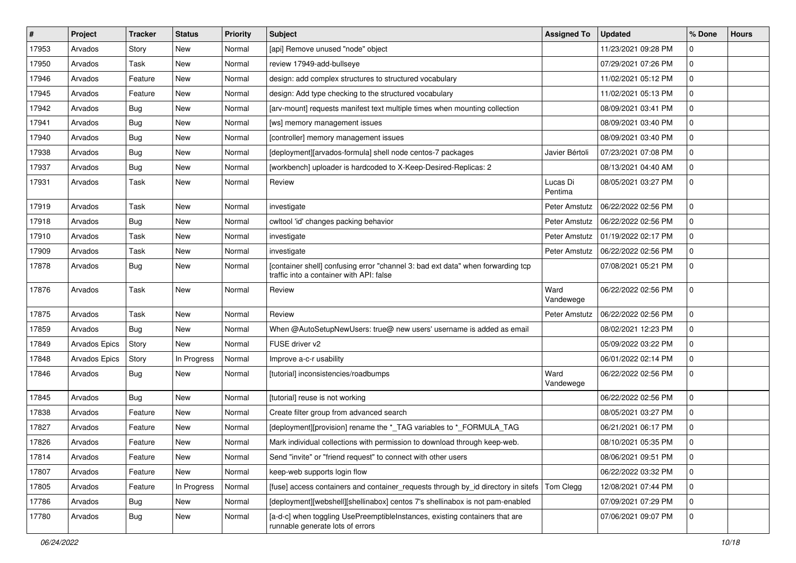| $\vert$ # | Project       | <b>Tracker</b> | <b>Status</b> | <b>Priority</b> | Subject                                                                                                                     | <b>Assigned To</b>  | <b>Updated</b>      | % Done       | <b>Hours</b> |
|-----------|---------------|----------------|---------------|-----------------|-----------------------------------------------------------------------------------------------------------------------------|---------------------|---------------------|--------------|--------------|
| 17953     | Arvados       | Story          | New           | Normal          | [api] Remove unused "node" object                                                                                           |                     | 11/23/2021 09:28 PM | 0            |              |
| 17950     | Arvados       | Task           | <b>New</b>    | Normal          | review 17949-add-bullseye                                                                                                   |                     | 07/29/2021 07:26 PM | 0            |              |
| 17946     | Arvados       | Feature        | New           | Normal          | design: add complex structures to structured vocabulary                                                                     |                     | 11/02/2021 05:12 PM | 0            |              |
| 17945     | Arvados       | Feature        | New           | Normal          | design: Add type checking to the structured vocabulary                                                                      |                     | 11/02/2021 05:13 PM | 0            |              |
| 17942     | Arvados       | Bug            | <b>New</b>    | Normal          | [arv-mount] requests manifest text multiple times when mounting collection                                                  |                     | 08/09/2021 03:41 PM | 0            |              |
| 17941     | Arvados       | <b>Bug</b>     | New           | Normal          | [ws] memory management issues                                                                                               |                     | 08/09/2021 03:40 PM | 0            |              |
| 17940     | Arvados       | Bug            | <b>New</b>    | Normal          | [controller] memory management issues                                                                                       |                     | 08/09/2021 03:40 PM | 0            |              |
| 17938     | Arvados       | Bug            | <b>New</b>    | Normal          | [deployment][arvados-formula] shell node centos-7 packages                                                                  | Javier Bértoli      | 07/23/2021 07:08 PM | 0            |              |
| 17937     | Arvados       | Bug            | New           | Normal          | [workbench] uploader is hardcoded to X-Keep-Desired-Replicas: 2                                                             |                     | 08/13/2021 04:40 AM | 0            |              |
| 17931     | Arvados       | Task           | <b>New</b>    | Normal          | Review                                                                                                                      | Lucas Di<br>Pentima | 08/05/2021 03:27 PM | 0            |              |
| 17919     | Arvados       | Task           | New           | Normal          | investigate                                                                                                                 | Peter Amstutz       | 06/22/2022 02:56 PM | 0            |              |
| 17918     | Arvados       | Bug            | <b>New</b>    | Normal          | cwltool 'id' changes packing behavior                                                                                       | Peter Amstutz       | 06/22/2022 02:56 PM | 0            |              |
| 17910     | Arvados       | Task           | New           | Normal          | investigate                                                                                                                 | Peter Amstutz       | 01/19/2022 02:17 PM | 0            |              |
| 17909     | Arvados       | Task           | <b>New</b>    | Normal          | investigate                                                                                                                 | Peter Amstutz       | 06/22/2022 02:56 PM | 0            |              |
| 17878     | Arvados       | Bug            | New           | Normal          | [container shell] confusing error "channel 3: bad ext data" when forwarding tcp<br>traffic into a container with API: false |                     | 07/08/2021 05:21 PM | 0            |              |
| 17876     | Arvados       | Task           | <b>New</b>    | Normal          | Review                                                                                                                      | Ward<br>Vandewege   | 06/22/2022 02:56 PM | 0            |              |
| 17875     | Arvados       | Task           | <b>New</b>    | Normal          | Review                                                                                                                      | Peter Amstutz       | 06/22/2022 02:56 PM | 0            |              |
| 17859     | Arvados       | Bug            | New           | Normal          | When @AutoSetupNewUsers: true@ new users' username is added as email                                                        |                     | 08/02/2021 12:23 PM | 0            |              |
| 17849     | Arvados Epics | Story          | <b>New</b>    | Normal          | FUSE driver v2                                                                                                              |                     | 05/09/2022 03:22 PM | 0            |              |
| 17848     | Arvados Epics | Story          | In Progress   | Normal          | Improve a-c-r usability                                                                                                     |                     | 06/01/2022 02:14 PM | 0            |              |
| 17846     | Arvados       | Bug            | New           | Normal          | [tutorial] inconsistencies/roadbumps                                                                                        | Ward<br>Vandewege   | 06/22/2022 02:56 PM | 0            |              |
| 17845     | Arvados       | Bug            | <b>New</b>    | Normal          | [tutorial] reuse is not working                                                                                             |                     | 06/22/2022 02:56 PM | 0            |              |
| 17838     | Arvados       | Feature        | New           | Normal          | Create filter group from advanced search                                                                                    |                     | 08/05/2021 03:27 PM | $\mathbf{0}$ |              |
| 17827     | Arvados       | Feature        | New           | Normal          | [deployment][provision] rename the *_TAG variables to *_FORMULA_TAG                                                         |                     | 06/21/2021 06:17 PM | 0            |              |
| 17826     | Arvados       | Feature        | New           | Normal          | Mark individual collections with permission to download through keep-web.                                                   |                     | 08/10/2021 05:35 PM | 0            |              |
| 17814     | Arvados       | Feature        | New           | Normal          | Send "invite" or "friend request" to connect with other users                                                               |                     | 08/06/2021 09:51 PM | 0            |              |
| 17807     | Arvados       | Feature        | <b>New</b>    | Normal          | keep-web supports login flow                                                                                                |                     | 06/22/2022 03:32 PM | 0            |              |
| 17805     | Arvados       | Feature        | In Progress   | Normal          | [fuse] access containers and container_requests through by_id directory in sitefs                                           | Tom Clegg           | 12/08/2021 07:44 PM | $\mathbf 0$  |              |
| 17786     | Arvados       | Bug            | New           | Normal          | [deployment][webshell][shellinabox] centos 7's shellinabox is not pam-enabled                                               |                     | 07/09/2021 07:29 PM | 0            |              |
| 17780     | Arvados       | Bug            | New           | Normal          | [a-d-c] when toggling UsePreemptibleInstances, existing containers that are<br>runnable generate lots of errors             |                     | 07/06/2021 09:07 PM | 0            |              |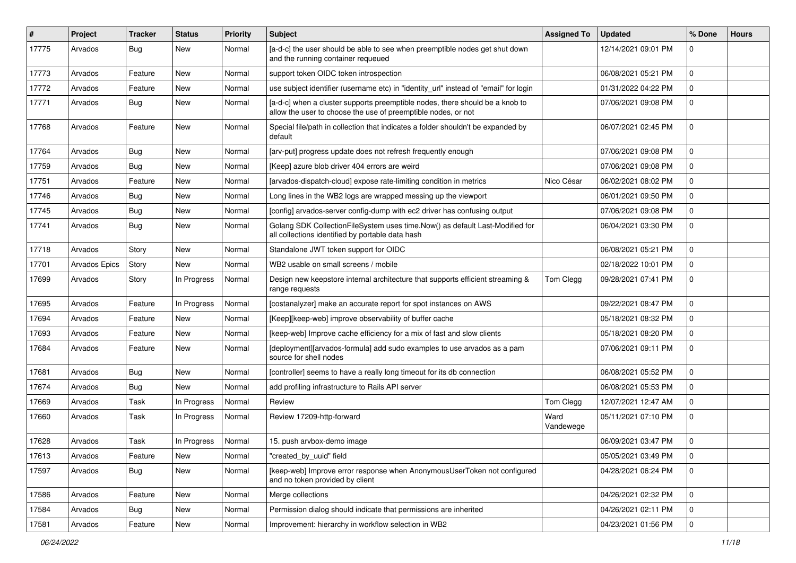| #     | Project              | <b>Tracker</b> | <b>Status</b> | <b>Priority</b> | Subject                                                                                                                                       | <b>Assigned To</b> | <b>Updated</b>      | % Done       | <b>Hours</b> |
|-------|----------------------|----------------|---------------|-----------------|-----------------------------------------------------------------------------------------------------------------------------------------------|--------------------|---------------------|--------------|--------------|
| 17775 | Arvados              | <b>Bug</b>     | New           | Normal          | [a-d-c] the user should be able to see when preemptible nodes get shut down<br>and the running container requeued                             |                    | 12/14/2021 09:01 PM | 0            |              |
| 17773 | Arvados              | Feature        | New           | Normal          | support token OIDC token introspection                                                                                                        |                    | 06/08/2021 05:21 PM | 0            |              |
| 17772 | Arvados              | Feature        | New           | Normal          | use subject identifier (username etc) in "identity_url" instead of "email" for login                                                          |                    | 01/31/2022 04:22 PM | 0            |              |
| 17771 | Arvados              | <b>Bug</b>     | <b>New</b>    | Normal          | [a-d-c] when a cluster supports preemptible nodes, there should be a knob to<br>allow the user to choose the use of preemptible nodes, or not |                    | 07/06/2021 09:08 PM | 0            |              |
| 17768 | Arvados              | Feature        | New           | Normal          | Special file/path in collection that indicates a folder shouldn't be expanded by<br>default                                                   |                    | 06/07/2021 02:45 PM | 0            |              |
| 17764 | Arvados              | Bug            | <b>New</b>    | Normal          | [arv-put] progress update does not refresh frequently enough                                                                                  |                    | 07/06/2021 09:08 PM | $\Omega$     |              |
| 17759 | Arvados              | Bug            | <b>New</b>    | Normal          | [Keep] azure blob driver 404 errors are weird                                                                                                 |                    | 07/06/2021 09:08 PM | 0            |              |
| 17751 | Arvados              | Feature        | New           | Normal          | [arvados-dispatch-cloud] expose rate-limiting condition in metrics                                                                            | Nico César         | 06/02/2021 08:02 PM | $\mathbf 0$  |              |
| 17746 | Arvados              | Bug            | New           | Normal          | Long lines in the WB2 logs are wrapped messing up the viewport                                                                                |                    | 06/01/2021 09:50 PM | 0            |              |
| 17745 | Arvados              | Bug            | New           | Normal          | [config] arvados-server config-dump with ec2 driver has confusing output                                                                      |                    | 07/06/2021 09:08 PM | 0            |              |
| 17741 | Arvados              | Bug            | New           | Normal          | Golang SDK CollectionFileSystem uses time.Now() as default Last-Modified for<br>all collections identified by portable data hash              |                    | 06/04/2021 03:30 PM | 0            |              |
| 17718 | Arvados              | Story          | New           | Normal          | Standalone JWT token support for OIDC                                                                                                         |                    | 06/08/2021 05:21 PM | $\mathbf{0}$ |              |
| 17701 | <b>Arvados Epics</b> | Story          | <b>New</b>    | Normal          | WB2 usable on small screens / mobile                                                                                                          |                    | 02/18/2022 10:01 PM | 0            |              |
| 17699 | Arvados              | Story          | In Progress   | Normal          | Design new keepstore internal architecture that supports efficient streaming &<br>range requests                                              | Tom Clegg          | 09/28/2021 07:41 PM | 0            |              |
| 17695 | Arvados              | Feature        | In Progress   | Normal          | [costanalyzer] make an accurate report for spot instances on AWS                                                                              |                    | 09/22/2021 08:47 PM | $\mathbf 0$  |              |
| 17694 | Arvados              | Feature        | New           | Normal          | [Keep][keep-web] improve observability of buffer cache                                                                                        |                    | 05/18/2021 08:32 PM | 0            |              |
| 17693 | Arvados              | Feature        | New           | Normal          | [keep-web] Improve cache efficiency for a mix of fast and slow clients                                                                        |                    | 05/18/2021 08:20 PM | 0            |              |
| 17684 | Arvados              | Feature        | New           | Normal          | [deployment][arvados-formula] add sudo examples to use arvados as a pam<br>source for shell nodes                                             |                    | 07/06/2021 09:11 PM | $\Omega$     |              |
| 17681 | Arvados              | Bug            | New           | Normal          | [controller] seems to have a really long timeout for its db connection                                                                        |                    | 06/08/2021 05:52 PM | 0            |              |
| 17674 | Arvados              | Bug            | <b>New</b>    | Normal          | add profiling infrastructure to Rails API server                                                                                              |                    | 06/08/2021 05:53 PM | 0            |              |
| 17669 | Arvados              | Task           | In Progress   | Normal          | Review                                                                                                                                        | Tom Clegg          | 12/07/2021 12:47 AM | $\mathbf 0$  |              |
| 17660 | Arvados              | Task           | In Progress   | Normal          | Review 17209-http-forward                                                                                                                     | Ward<br>Vandewege  | 05/11/2021 07:10 PM | $\Omega$     |              |
| 17628 | Arvados              | Task           | In Progress   | Normal          | 15. push arvbox-demo image                                                                                                                    |                    | 06/09/2021 03:47 PM | 0            |              |
| 17613 | Arvados              | Feature        | New           | Normal          | "created_by_uuid" field                                                                                                                       |                    | 05/05/2021 03:49 PM | 0            |              |
| 17597 | Arvados              | Bug            | New           | Normal          | [keep-web] Improve error response when AnonymousUserToken not configured<br>and no token provided by client                                   |                    | 04/28/2021 06:24 PM | $\mathbf{0}$ |              |
| 17586 | Arvados              | Feature        | <b>New</b>    | Normal          | Merge collections                                                                                                                             |                    | 04/26/2021 02:32 PM | $\mathbf 0$  |              |
| 17584 | Arvados              | <b>Bug</b>     | New           | Normal          | Permission dialog should indicate that permissions are inherited                                                                              |                    | 04/26/2021 02:11 PM | $\mathbf{0}$ |              |
| 17581 | Arvados              | Feature        | New           | Normal          | Improvement: hierarchy in workflow selection in WB2                                                                                           |                    | 04/23/2021 01:56 PM | $\mathbf 0$  |              |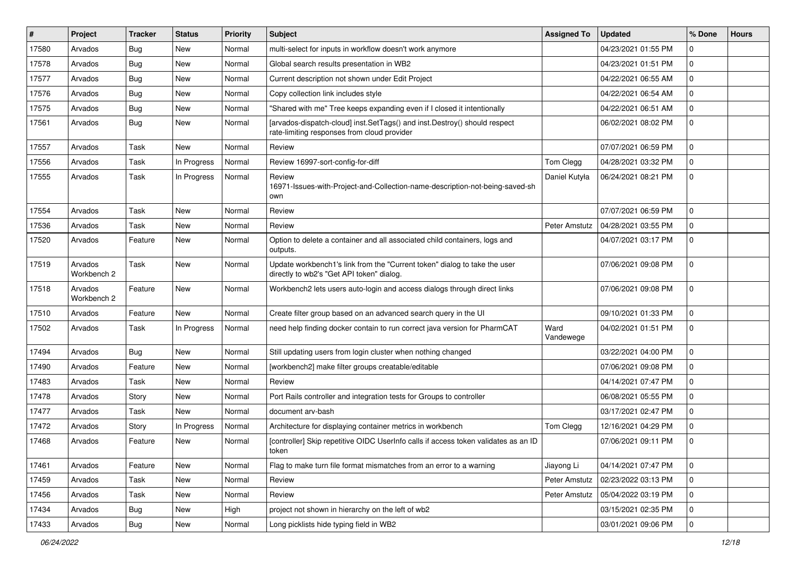| #     | Project                | <b>Tracker</b> | <b>Status</b> | <b>Priority</b> | Subject                                                                                                                  | <b>Assigned To</b> | <b>Updated</b>      | % Done      | <b>Hours</b> |
|-------|------------------------|----------------|---------------|-----------------|--------------------------------------------------------------------------------------------------------------------------|--------------------|---------------------|-------------|--------------|
| 17580 | Arvados                | Bug            | New           | Normal          | multi-select for inputs in workflow doesn't work anymore                                                                 |                    | 04/23/2021 01:55 PM | 0           |              |
| 17578 | Arvados                | Bug            | <b>New</b>    | Normal          | Global search results presentation in WB2                                                                                |                    | 04/23/2021 01:51 PM | 0           |              |
| 17577 | Arvados                | Bug            | <b>New</b>    | Normal          | Current description not shown under Edit Project                                                                         |                    | 04/22/2021 06:55 AM | 0           |              |
| 17576 | Arvados                | Bug            | <b>New</b>    | Normal          | Copy collection link includes style                                                                                      |                    | 04/22/2021 06:54 AM | 0           |              |
| 17575 | Arvados                | Bug            | <b>New</b>    | Normal          | "Shared with me" Tree keeps expanding even if I closed it intentionally                                                  |                    | 04/22/2021 06:51 AM | 0           |              |
| 17561 | Arvados                | Bug            | <b>New</b>    | Normal          | [arvados-dispatch-cloud] inst.SetTags() and inst.Destroy() should respect<br>rate-limiting responses from cloud provider |                    | 06/02/2021 08:02 PM | 0           |              |
| 17557 | Arvados                | <b>Task</b>    | <b>New</b>    | Normal          | Review                                                                                                                   |                    | 07/07/2021 06:59 PM | 0           |              |
| 17556 | Arvados                | <b>Task</b>    | In Progress   | Normal          | Review 16997-sort-config-for-diff                                                                                        | Tom Clegg          | 04/28/2021 03:32 PM | 0           |              |
| 17555 | Arvados                | <b>Task</b>    | In Progress   | Normal          | Review<br>16971-Issues-with-Project-and-Collection-name-description-not-being-saved-sh<br>own                            | Daniel Kutyła      | 06/24/2021 08:21 PM | 0           |              |
| 17554 | Arvados                | <b>Task</b>    | <b>New</b>    | Normal          | Review                                                                                                                   |                    | 07/07/2021 06:59 PM | 0           |              |
| 17536 | Arvados                | Task           | <b>New</b>    | Normal          | Review                                                                                                                   | Peter Amstutz      | 04/28/2021 03:55 PM | 0           |              |
| 17520 | Arvados                | Feature        | New           | Normal          | Option to delete a container and all associated child containers, logs and<br>outputs.                                   |                    | 04/07/2021 03:17 PM | 0           |              |
| 17519 | Arvados<br>Workbench 2 | <b>Task</b>    | <b>New</b>    | Normal          | Update workbench1's link from the "Current token" dialog to take the user<br>directly to wb2's "Get API token" dialog.   |                    | 07/06/2021 09:08 PM | 0           |              |
| 17518 | Arvados<br>Workbench 2 | Feature        | <b>New</b>    | Normal          | Workbench2 lets users auto-login and access dialogs through direct links                                                 |                    | 07/06/2021 09:08 PM | 0           |              |
| 17510 | Arvados                | Feature        | New           | Normal          | Create filter group based on an advanced search query in the UI                                                          |                    | 09/10/2021 01:33 PM | 0           |              |
| 17502 | Arvados                | Task           | In Progress   | Normal          | need help finding docker contain to run correct java version for PharmCAT                                                | Ward<br>Vandewege  | 04/02/2021 01:51 PM | 0           |              |
| 17494 | Arvados                | Bug            | New           | Normal          | Still updating users from login cluster when nothing changed                                                             |                    | 03/22/2021 04:00 PM | 0           |              |
| 17490 | Arvados                | Feature        | <b>New</b>    | Normal          | [workbench2] make filter groups creatable/editable                                                                       |                    | 07/06/2021 09:08 PM | 0           |              |
| 17483 | Arvados                | <b>Task</b>    | <b>New</b>    | Normal          | Review                                                                                                                   |                    | 04/14/2021 07:47 PM | 0           |              |
| 17478 | Arvados                | Story          | New           | Normal          | Port Rails controller and integration tests for Groups to controller                                                     |                    | 06/08/2021 05:55 PM | 0           |              |
| 17477 | Arvados                | Task           | <b>New</b>    | Normal          | document arv-bash                                                                                                        |                    | 03/17/2021 02:47 PM | 0           |              |
| 17472 | Arvados                | Story          | In Progress   | Normal          | Architecture for displaying container metrics in workbench                                                               | Tom Clegg          | 12/16/2021 04:29 PM | 0           |              |
| 17468 | Arvados                | Feature        | New           | Normal          | [controller] Skip repetitive OIDC UserInfo calls if access token validates as an ID<br>token                             |                    | 07/06/2021 09:11 PM | 0           |              |
| 17461 | Arvados                | Feature        | New           | Normal          | Flag to make turn file format mismatches from an error to a warning                                                      | Jiayong Li         | 04/14/2021 07:47 PM | $\mathbf 0$ |              |
| 17459 | Arvados                | Task           | New           | Normal          | Review                                                                                                                   | Peter Amstutz      | 02/23/2022 03:13 PM | 0           |              |
| 17456 | Arvados                | Task           | <b>New</b>    | Normal          | Review                                                                                                                   | Peter Amstutz      | 05/04/2022 03:19 PM | 0           |              |
| 17434 | Arvados                | Bug            | New           | High            | project not shown in hierarchy on the left of wb2                                                                        |                    | 03/15/2021 02:35 PM | $\mathbf 0$ |              |
| 17433 | Arvados                | <b>Bug</b>     | New           | Normal          | Long picklists hide typing field in WB2                                                                                  |                    | 03/01/2021 09:06 PM | 0           |              |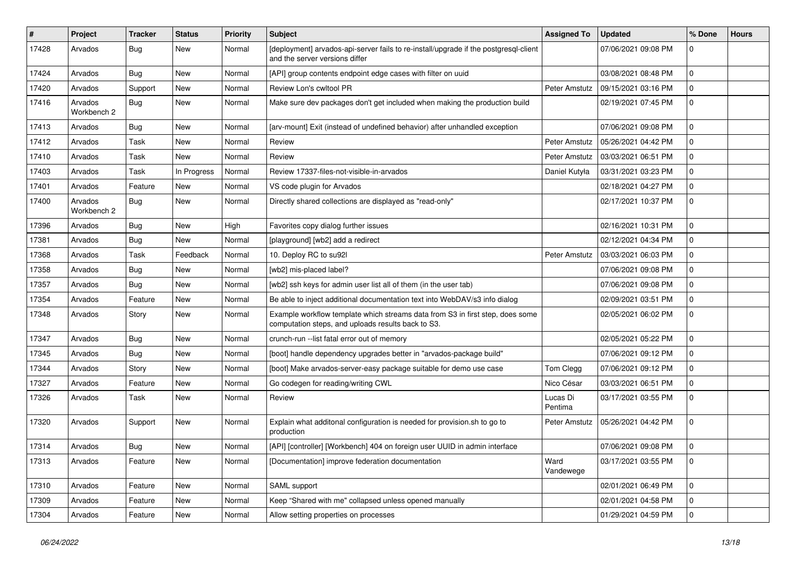| #     | Project                | <b>Tracker</b> | <b>Status</b> | <b>Priority</b> | <b>Subject</b>                                                                                                                      | <b>Assigned To</b>  | <b>Updated</b>      | % Done       | <b>Hours</b> |
|-------|------------------------|----------------|---------------|-----------------|-------------------------------------------------------------------------------------------------------------------------------------|---------------------|---------------------|--------------|--------------|
| 17428 | Arvados                | Bug            | New           | Normal          | [deployment] arvados-api-server fails to re-install/upgrade if the postgresql-client<br>and the server versions differ              |                     | 07/06/2021 09:08 PM | 0            |              |
| 17424 | Arvados                | Bug            | New           | Normal          | [API] group contents endpoint edge cases with filter on uuid                                                                        |                     | 03/08/2021 08:48 PM | $\mathbf{0}$ |              |
| 17420 | Arvados                | Support        | <b>New</b>    | Normal          | Review Lon's cwltool PR                                                                                                             | Peter Amstutz       | 09/15/2021 03:16 PM | 0            |              |
| 17416 | Arvados<br>Workbench 2 | Bug            | New           | Normal          | Make sure dev packages don't get included when making the production build                                                          |                     | 02/19/2021 07:45 PM | 0            |              |
| 17413 | Arvados                | Bug            | New           | Normal          | [arv-mount] Exit (instead of undefined behavior) after unhandled exception                                                          |                     | 07/06/2021 09:08 PM | 0            |              |
| 17412 | Arvados                | <b>Task</b>    | <b>New</b>    | Normal          | Review                                                                                                                              | Peter Amstutz       | 05/26/2021 04:42 PM | 0            |              |
| 17410 | Arvados                | <b>Task</b>    | <b>New</b>    | Normal          | Review                                                                                                                              | Peter Amstutz       | 03/03/2021 06:51 PM | 0            |              |
| 17403 | Arvados                | <b>Task</b>    | In Progress   | Normal          | Review 17337-files-not-visible-in-arvados                                                                                           | Daniel Kutyła       | 03/31/2021 03:23 PM | 0            |              |
| 17401 | Arvados                | Feature        | New           | Normal          | VS code plugin for Arvados                                                                                                          |                     | 02/18/2021 04:27 PM | $\mathbf 0$  |              |
| 17400 | Arvados<br>Workbench 2 | Bug            | New           | Normal          | Directly shared collections are displayed as "read-only"                                                                            |                     | 02/17/2021 10:37 PM | 0            |              |
| 17396 | Arvados                | Bug            | <b>New</b>    | High            | Favorites copy dialog further issues                                                                                                |                     | 02/16/2021 10:31 PM | 0            |              |
| 17381 | Arvados                | Bug            | <b>New</b>    | Normal          | [playground] [wb2] add a redirect                                                                                                   |                     | 02/12/2021 04:34 PM | 0            |              |
| 17368 | Arvados                | Task           | Feedback      | Normal          | 10. Deploy RC to su92l                                                                                                              | Peter Amstutz       | 03/03/2021 06:03 PM | 0            |              |
| 17358 | Arvados                | Bug            | <b>New</b>    | Normal          | [wb2] mis-placed label?                                                                                                             |                     | 07/06/2021 09:08 PM | 0            |              |
| 17357 | Arvados                | Bug            | <b>New</b>    | Normal          | [wb2] ssh keys for admin user list all of them (in the user tab)                                                                    |                     | 07/06/2021 09:08 PM | 0            |              |
| 17354 | Arvados                | Feature        | <b>New</b>    | Normal          | Be able to inject additional documentation text into WebDAV/s3 info dialog                                                          |                     | 02/09/2021 03:51 PM | 0            |              |
| 17348 | Arvados                | Story          | New           | Normal          | Example workflow template which streams data from S3 in first step, does some<br>computation steps, and uploads results back to S3. |                     | 02/05/2021 06:02 PM | 0            |              |
| 17347 | Arvados                | Bug            | <b>New</b>    | Normal          | crunch-run -- list fatal error out of memory                                                                                        |                     | 02/05/2021 05:22 PM | 0            |              |
| 17345 | Arvados                | Bug            | <b>New</b>    | Normal          | [boot] handle dependency upgrades better in "arvados-package build"                                                                 |                     | 07/06/2021 09:12 PM | 0            |              |
| 17344 | Arvados                | Story          | New           | Normal          | [boot] Make arvados-server-easy package suitable for demo use case                                                                  | Tom Clegg           | 07/06/2021 09:12 PM | $\mathbf{0}$ |              |
| 17327 | Arvados                | Feature        | New           | Normal          | Go codegen for reading/writing CWL                                                                                                  | Nico César          | 03/03/2021 06:51 PM | 0            |              |
| 17326 | Arvados                | Task           | New           | Normal          | Review                                                                                                                              | Lucas Di<br>Pentima | 03/17/2021 03:55 PM | 0            |              |
| 17320 | Arvados                | Support        | New           | Normal          | Explain what additonal configuration is needed for provision.sh to go to<br>production                                              | Peter Amstutz       | 05/26/2021 04:42 PM | 0            |              |
| 17314 | Arvados                | Bug            | <b>New</b>    | Normal          | [API] [controller] [Workbench] 404 on foreign user UUID in admin interface                                                          |                     | 07/06/2021 09:08 PM | $\Omega$     |              |
| 17313 | Arvados                | Feature        | New           | Normal          | [Documentation] improve federation documentation                                                                                    | Ward<br>Vandewege   | 03/17/2021 03:55 PM | $\mathbf 0$  |              |
| 17310 | Arvados                | Feature        | New           | Normal          | SAML support                                                                                                                        |                     | 02/01/2021 06:49 PM | 0            |              |
| 17309 | Arvados                | Feature        | New           | Normal          | Keep "Shared with me" collapsed unless opened manually                                                                              |                     | 02/01/2021 04:58 PM | 0            |              |
| 17304 | Arvados                | Feature        | New           | Normal          | Allow setting properties on processes                                                                                               |                     | 01/29/2021 04:59 PM | $\mathbf 0$  |              |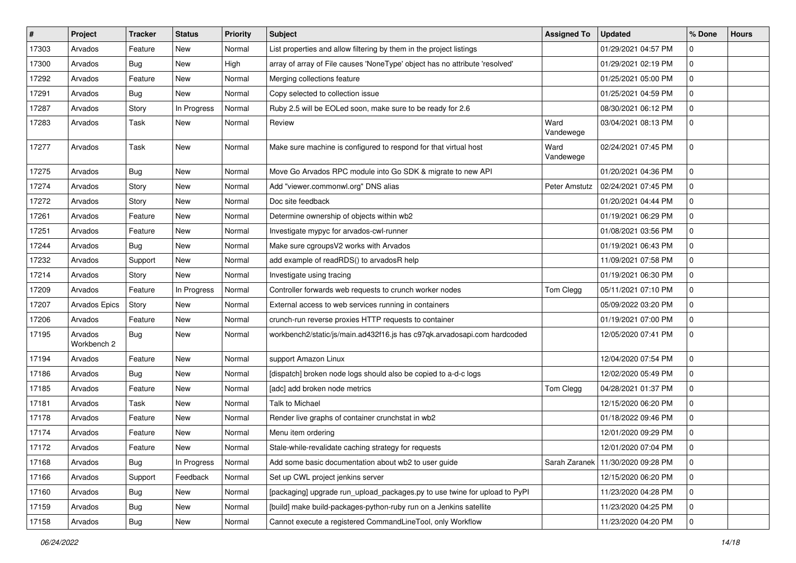| #     | Project                | <b>Tracker</b> | <b>Status</b> | <b>Priority</b> | <b>Subject</b>                                                              | <b>Assigned To</b> | <b>Updated</b>                      | % Done       | <b>Hours</b> |
|-------|------------------------|----------------|---------------|-----------------|-----------------------------------------------------------------------------|--------------------|-------------------------------------|--------------|--------------|
| 17303 | Arvados                | Feature        | New           | Normal          | List properties and allow filtering by them in the project listings         |                    | 01/29/2021 04:57 PM                 | 0            |              |
| 17300 | Arvados                | Bug            | <b>New</b>    | High            | array of array of File causes 'NoneType' object has no attribute 'resolved' |                    | 01/29/2021 02:19 PM                 | 0            |              |
| 17292 | Arvados                | Feature        | New           | Normal          | Merging collections feature                                                 |                    | 01/25/2021 05:00 PM                 | $\mathbf{0}$ |              |
| 17291 | Arvados                | Bug            | New           | Normal          | Copy selected to collection issue                                           |                    | 01/25/2021 04:59 PM                 | 0            |              |
| 17287 | Arvados                | Story          | In Progress   | Normal          | Ruby 2.5 will be EOLed soon, make sure to be ready for 2.6                  |                    | 08/30/2021 06:12 PM                 | $\mathbf{0}$ |              |
| 17283 | Arvados                | Task           | New           | Normal          | Review                                                                      | Ward<br>Vandewege  | 03/04/2021 08:13 PM                 | 0            |              |
| 17277 | Arvados                | Task           | New           | Normal          | Make sure machine is configured to respond for that virtual host            | Ward<br>Vandewege  | 02/24/2021 07:45 PM                 | 0            |              |
| 17275 | Arvados                | Bug            | New           | Normal          | Move Go Arvados RPC module into Go SDK & migrate to new API                 |                    | 01/20/2021 04:36 PM                 | 0            |              |
| 17274 | Arvados                | Story          | New           | Normal          | Add "viewer.commonwl.org" DNS alias                                         | Peter Amstutz      | 02/24/2021 07:45 PM                 | $\mathbf 0$  |              |
| 17272 | Arvados                | Story          | New           | Normal          | Doc site feedback                                                           |                    | 01/20/2021 04:44 PM                 | 0            |              |
| 17261 | Arvados                | Feature        | New           | Normal          | Determine ownership of objects within wb2                                   |                    | 01/19/2021 06:29 PM                 | 0            |              |
| 17251 | Arvados                | Feature        | New           | Normal          | Investigate mypyc for arvados-cwl-runner                                    |                    | 01/08/2021 03:56 PM                 | 0            |              |
| 17244 | Arvados                | Bug            | <b>New</b>    | Normal          | Make sure cgroupsV2 works with Arvados                                      |                    | 01/19/2021 06:43 PM                 | 0            |              |
| 17232 | Arvados                | Support        | New           | Normal          | add example of readRDS() to arvadosR help                                   |                    | 11/09/2021 07:58 PM                 | $\mathbf{0}$ |              |
| 17214 | Arvados                | Story          | New           | Normal          | Investigate using tracing                                                   |                    | 01/19/2021 06:30 PM                 | 0            |              |
| 17209 | Arvados                | Feature        | In Progress   | Normal          | Controller forwards web requests to crunch worker nodes                     | Tom Clegg          | 05/11/2021 07:10 PM                 | 0            |              |
| 17207 | Arvados Epics          | Story          | New           | Normal          | External access to web services running in containers                       |                    | 05/09/2022 03:20 PM                 | 0            |              |
| 17206 | Arvados                | Feature        | <b>New</b>    | Normal          | crunch-run reverse proxies HTTP requests to container                       |                    | 01/19/2021 07:00 PM                 | 0            |              |
| 17195 | Arvados<br>Workbench 2 | <b>Bug</b>     | New           | Normal          | workbench2/static/js/main.ad432f16.js has c97qk.arvadosapi.com hardcoded    |                    | 12/05/2020 07:41 PM                 | 0            |              |
| 17194 | Arvados                | Feature        | <b>New</b>    | Normal          | support Amazon Linux                                                        |                    | 12/04/2020 07:54 PM                 | 0            |              |
| 17186 | Arvados                | Bug            | New           | Normal          | [dispatch] broken node logs should also be copied to a-d-c logs             |                    | 12/02/2020 05:49 PM                 | $\mathbf{0}$ |              |
| 17185 | Arvados                | Feature        | New           | Normal          | [adc] add broken node metrics                                               | Tom Clegg          | 04/28/2021 01:37 PM                 | 0            |              |
| 17181 | Arvados                | Task           | New           | Normal          | Talk to Michael                                                             |                    | 12/15/2020 06:20 PM                 | 0            |              |
| 17178 | Arvados                | Feature        | New           | Normal          | Render live graphs of container crunchstat in wb2                           |                    | 01/18/2022 09:46 PM                 | 0            |              |
| 17174 | Arvados                | Feature        | New           | Normal          | Menu item ordering                                                          |                    | 12/01/2020 09:29 PM                 | 0            |              |
| 17172 | Arvados                | Feature        | New           | Normal          | Stale-while-revalidate caching strategy for requests                        |                    | 12/01/2020 07:04 PM                 | $\Omega$     |              |
| 17168 | Arvados                | <b>Bug</b>     | In Progress   | Normal          | Add some basic documentation about wb2 to user guide                        |                    | Sarah Zaranek   11/30/2020 09:28 PM | $\mathbf 0$  |              |
| 17166 | Arvados                | Support        | Feedback      | Normal          | Set up CWL project jenkins server                                           |                    | 12/15/2020 06:20 PM                 | $\mathbf 0$  |              |
| 17160 | Arvados                | <b>Bug</b>     | New           | Normal          | [packaging] upgrade run_upload_packages.py to use twine for upload to PyPI  |                    | 11/23/2020 04:28 PM                 | 0            |              |
| 17159 | Arvados                | Bug            | New           | Normal          | [build] make build-packages-python-ruby run on a Jenkins satellite          |                    | 11/23/2020 04:25 PM                 | 0            |              |
| 17158 | Arvados                | Bug            | New           | Normal          | Cannot execute a registered CommandLineTool, only Workflow                  |                    | 11/23/2020 04:20 PM                 | $\mathbf 0$  |              |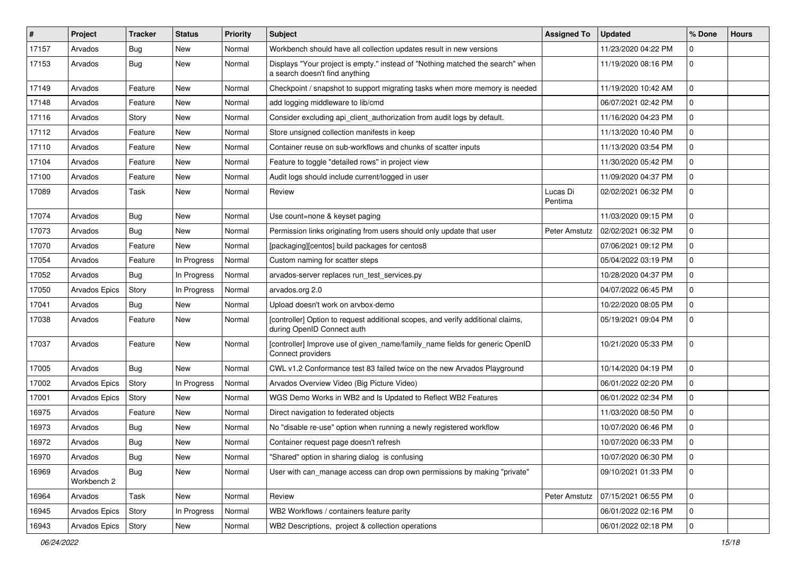| $\vert$ # | Project                | <b>Tracker</b> | <b>Status</b> | <b>Priority</b> | Subject                                                                                                          | <b>Assigned To</b>  | <b>Updated</b>      | % Done      | <b>Hours</b> |
|-----------|------------------------|----------------|---------------|-----------------|------------------------------------------------------------------------------------------------------------------|---------------------|---------------------|-------------|--------------|
| 17157     | Arvados                | Bug            | <b>New</b>    | Normal          | Workbench should have all collection updates result in new versions                                              |                     | 11/23/2020 04:22 PM | 0           |              |
| 17153     | Arvados                | Bug            | <b>New</b>    | Normal          | Displays "Your project is empty." instead of "Nothing matched the search" when<br>a search doesn't find anything |                     | 11/19/2020 08:16 PM | $\mathbf 0$ |              |
| 17149     | Arvados                | Feature        | <b>New</b>    | Normal          | Checkpoint / snapshot to support migrating tasks when more memory is needed                                      |                     | 11/19/2020 10:42 AM | $\mathbf 0$ |              |
| 17148     | Arvados                | Feature        | <b>New</b>    | Normal          | add logging middleware to lib/cmd                                                                                |                     | 06/07/2021 02:42 PM | $\mathbf 0$ |              |
| 17116     | Arvados                | Story          | New           | Normal          | Consider excluding api_client_authorization from audit logs by default.                                          |                     | 11/16/2020 04:23 PM | 0           |              |
| 17112     | Arvados                | Feature        | <b>New</b>    | Normal          | Store unsigned collection manifests in keep                                                                      |                     | 11/13/2020 10:40 PM | 0           |              |
| 17110     | Arvados                | Feature        | New           | Normal          | Container reuse on sub-workflows and chunks of scatter inputs                                                    |                     | 11/13/2020 03:54 PM | 0           |              |
| 17104     | Arvados                | Feature        | <b>New</b>    | Normal          | Feature to toggle "detailed rows" in project view                                                                |                     | 11/30/2020 05:42 PM | 0           |              |
| 17100     | Arvados                | Feature        | <b>New</b>    | Normal          | Audit logs should include current/logged in user                                                                 |                     | 11/09/2020 04:37 PM | 0           |              |
| 17089     | Arvados                | Task           | <b>New</b>    | Normal          | Review                                                                                                           | Lucas Di<br>Pentima | 02/02/2021 06:32 PM | 0           |              |
| 17074     | Arvados                | <b>Bug</b>     | <b>New</b>    | Normal          | Use count=none & keyset paging                                                                                   |                     | 11/03/2020 09:15 PM | $\mathbf 0$ |              |
| 17073     | Arvados                | Bug            | <b>New</b>    | Normal          | Permission links originating from users should only update that user                                             | Peter Amstutz       | 02/02/2021 06:32 PM | $\mathbf 0$ |              |
| 17070     | Arvados                | Feature        | <b>New</b>    | Normal          | [packaging][centos] build packages for centos8                                                                   |                     | 07/06/2021 09:12 PM | 0           |              |
| 17054     | Arvados                | Feature        | In Progress   | Normal          | Custom naming for scatter steps                                                                                  |                     | 05/04/2022 03:19 PM | $\mathbf 0$ |              |
| 17052     | Arvados                | Bug            | In Progress   | Normal          | arvados-server replaces run test services.py                                                                     |                     | 10/28/2020 04:37 PM | 0           |              |
| 17050     | <b>Arvados Epics</b>   | Story          | In Progress   | Normal          | arvados.org 2.0                                                                                                  |                     | 04/07/2022 06:45 PM | 0           |              |
| 17041     | Arvados                | Bug            | New           | Normal          | Upload doesn't work on arvbox-demo                                                                               |                     | 10/22/2020 08:05 PM | $\Omega$    |              |
| 17038     | Arvados                | Feature        | New           | Normal          | [controller] Option to request additional scopes, and verify additional claims,<br>during OpenID Connect auth    |                     | 05/19/2021 09:04 PM | 0           |              |
| 17037     | Arvados                | Feature        | <b>New</b>    | Normal          | [controller] Improve use of given_name/family_name fields for generic OpenID<br>Connect providers                |                     | 10/21/2020 05:33 PM | $\Omega$    |              |
| 17005     | Arvados                | Bug            | New           | Normal          | CWL v1.2 Conformance test 83 failed twice on the new Arvados Playground                                          |                     | 10/14/2020 04:19 PM | 0           |              |
| 17002     | Arvados Epics          | Story          | In Progress   | Normal          | Arvados Overview Video (Big Picture Video)                                                                       |                     | 06/01/2022 02:20 PM | $\Omega$    |              |
| 17001     | Arvados Epics          | Story          | <b>New</b>    | Normal          | WGS Demo Works in WB2 and Is Updated to Reflect WB2 Features                                                     |                     | 06/01/2022 02:34 PM | $\mathbf 0$ |              |
| 16975     | Arvados                | Feature        | New           | Normal          | Direct navigation to federated objects                                                                           |                     | 11/03/2020 08:50 PM | 0           |              |
| 16973     | Arvados                | Bug            | New           | Normal          | No "disable re-use" option when running a newly registered workflow                                              |                     | 10/07/2020 06:46 PM | 0           |              |
| 16972     | Arvados                | Bug            | New           | Normal          | Container request page doesn't refresh                                                                           |                     | 10/07/2020 06:33 PM | 0           |              |
| 16970     | Arvados                | Bug            | New           | Normal          | "Shared" option in sharing dialog is confusing                                                                   |                     | 10/07/2020 06:30 PM | 0           |              |
| 16969     | Arvados<br>Workbench 2 | Bug            | New           | Normal          | User with can manage access can drop own permissions by making "private"                                         |                     | 09/10/2021 01:33 PM | $\mathbf 0$ |              |
| 16964     | Arvados                | Task           | New           | Normal          | Review                                                                                                           | Peter Amstutz       | 07/15/2021 06:55 PM | 0           |              |
| 16945     | Arvados Epics          | Story          | In Progress   | Normal          | WB2 Workflows / containers feature parity                                                                        |                     | 06/01/2022 02:16 PM | $\mathbf 0$ |              |
| 16943     | Arvados Epics          | Story          | New           | Normal          | WB2 Descriptions, project & collection operations                                                                |                     | 06/01/2022 02:18 PM | $\mathbf 0$ |              |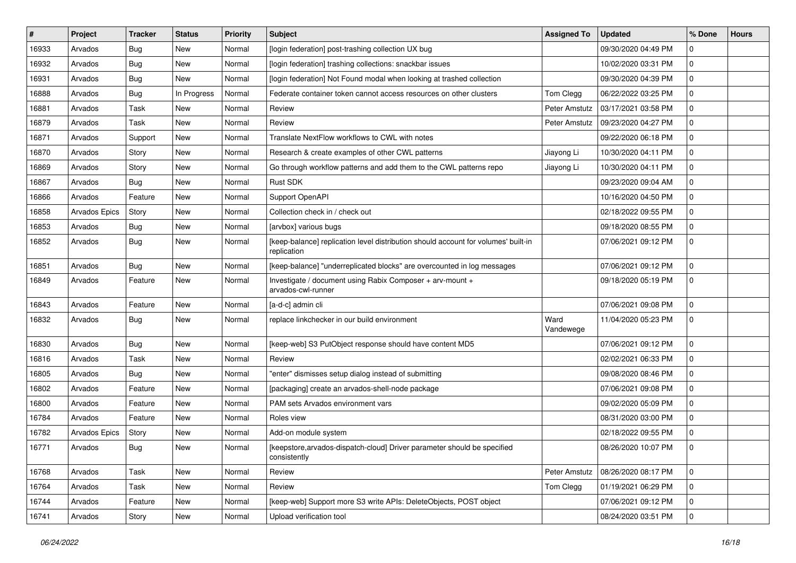| #     | Project       | <b>Tracker</b> | <b>Status</b> | <b>Priority</b> | Subject                                                                                           | <b>Assigned To</b> | <b>Updated</b>      | % Done       | <b>Hours</b> |
|-------|---------------|----------------|---------------|-----------------|---------------------------------------------------------------------------------------------------|--------------------|---------------------|--------------|--------------|
| 16933 | Arvados       | Bug            | New           | Normal          | [login federation] post-trashing collection UX bug                                                |                    | 09/30/2020 04:49 PM | 0            |              |
| 16932 | Arvados       | Bug            | New           | Normal          | [login federation] trashing collections: snackbar issues                                          |                    | 10/02/2020 03:31 PM | 0            |              |
| 16931 | Arvados       | Bug            | New           | Normal          | [login federation] Not Found modal when looking at trashed collection                             |                    | 09/30/2020 04:39 PM | 0            |              |
| 16888 | Arvados       | Bug            | In Progress   | Normal          | Federate container token cannot access resources on other clusters                                | Tom Clegg          | 06/22/2022 03:25 PM | 0            |              |
| 16881 | Arvados       | Task           | New           | Normal          | Review                                                                                            | Peter Amstutz      | 03/17/2021 03:58 PM | 0            |              |
| 16879 | Arvados       | Task           | New           | Normal          | Review                                                                                            | Peter Amstutz      | 09/23/2020 04:27 PM | 0            |              |
| 16871 | Arvados       | Support        | New           | Normal          | Translate NextFlow workflows to CWL with notes                                                    |                    | 09/22/2020 06:18 PM | 0            |              |
| 16870 | Arvados       | Story          | New           | Normal          | Research & create examples of other CWL patterns                                                  | Jiayong Li         | 10/30/2020 04:11 PM | 0            |              |
| 16869 | Arvados       | Story          | New           | Normal          | Go through workflow patterns and add them to the CWL patterns repo                                | Jiayong Li         | 10/30/2020 04:11 PM | 0            |              |
| 16867 | Arvados       | Bug            | <b>New</b>    | Normal          | Rust SDK                                                                                          |                    | 09/23/2020 09:04 AM | 0            |              |
| 16866 | Arvados       | Feature        | New           | Normal          | Support OpenAPI                                                                                   |                    | 10/16/2020 04:50 PM | 0            |              |
| 16858 | Arvados Epics | Story          | New           | Normal          | Collection check in / check out                                                                   |                    | 02/18/2022 09:55 PM | 0            |              |
| 16853 | Arvados       | Bug            | New           | Normal          | [arvbox] various bugs                                                                             |                    | 09/18/2020 08:55 PM | $\mathbf{0}$ |              |
| 16852 | Arvados       | Bug            | New           | Normal          | [keep-balance] replication level distribution should account for volumes' built-in<br>replication |                    | 07/06/2021 09:12 PM | $\Omega$     |              |
| 16851 | Arvados       | Bug            | <b>New</b>    | Normal          | [keep-balance] "underreplicated blocks" are overcounted in log messages                           |                    | 07/06/2021 09:12 PM | $\mathbf{0}$ |              |
| 16849 | Arvados       | Feature        | New           | Normal          | Investigate / document using Rabix Composer + arv-mount +<br>arvados-cwl-runner                   |                    | 09/18/2020 05:19 PM | 0            |              |
| 16843 | Arvados       | Feature        | New           | Normal          | [a-d-c] admin cli                                                                                 |                    | 07/06/2021 09:08 PM | 0            |              |
| 16832 | Arvados       | Bug            | New           | Normal          | replace linkchecker in our build environment                                                      | Ward<br>Vandewege  | 11/04/2020 05:23 PM | 0            |              |
| 16830 | Arvados       | Bug            | <b>New</b>    | Normal          | [keep-web] S3 PutObject response should have content MD5                                          |                    | 07/06/2021 09:12 PM | 0            |              |
| 16816 | Arvados       | Task           | New           | Normal          | Review                                                                                            |                    | 02/02/2021 06:33 PM | 0            |              |
| 16805 | Arvados       | Bug            | New           | Normal          | "enter" dismisses setup dialog instead of submitting                                              |                    | 09/08/2020 08:46 PM | 0            |              |
| 16802 | Arvados       | Feature        | New           | Normal          | [packaging] create an arvados-shell-node package                                                  |                    | 07/06/2021 09:08 PM | 0            |              |
| 16800 | Arvados       | Feature        | <b>New</b>    | Normal          | PAM sets Arvados environment vars                                                                 |                    | 09/02/2020 05:09 PM | 0            |              |
| 16784 | Arvados       | Feature        | New           | Normal          | Roles view                                                                                        |                    | 08/31/2020 03:00 PM | 0            |              |
| 16782 | Arvados Epics | Story          | New           | Normal          | Add-on module system                                                                              |                    | 02/18/2022 09:55 PM | 0            |              |
| 16771 | Arvados       | Bug            | New           | Normal          | [keepstore, arvados-dispatch-cloud] Driver parameter should be specified<br>consistently          |                    | 08/26/2020 10:07 PM | $\mathbf 0$  |              |
| 16768 | Arvados       | Task           | New           | Normal          | Review                                                                                            | Peter Amstutz      | 08/26/2020 08:17 PM | $\mathbf 0$  |              |
| 16764 | Arvados       | Task           | New           | Normal          | Review                                                                                            | Tom Clegg          | 01/19/2021 06:29 PM | $\mathbf 0$  |              |
| 16744 | Arvados       | Feature        | New           | Normal          | [keep-web] Support more S3 write APIs: DeleteObjects, POST object                                 |                    | 07/06/2021 09:12 PM | 0            |              |
| 16741 | Arvados       | Story          | New           | Normal          | Upload verification tool                                                                          |                    | 08/24/2020 03:51 PM | 0            |              |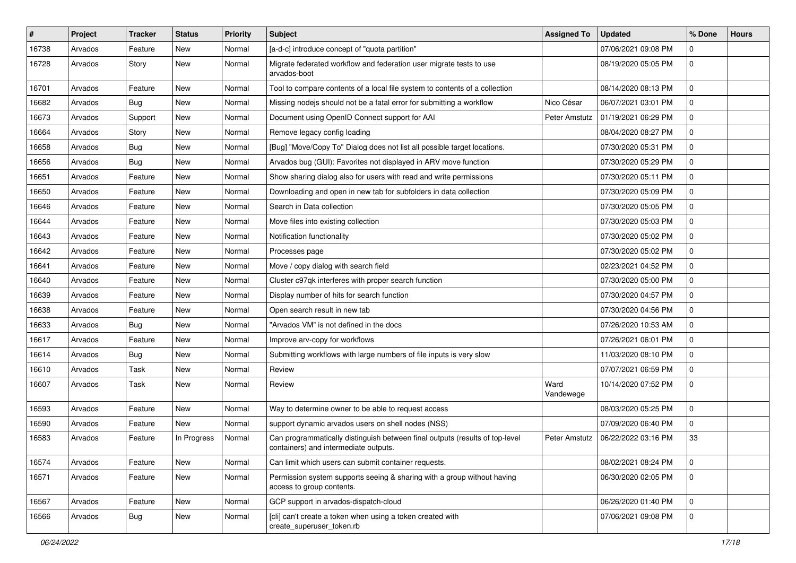| #     | Project | <b>Tracker</b> | <b>Status</b> | <b>Priority</b> | Subject                                                                                                               | <b>Assigned To</b> | <b>Updated</b>      | % Done       | <b>Hours</b> |
|-------|---------|----------------|---------------|-----------------|-----------------------------------------------------------------------------------------------------------------------|--------------------|---------------------|--------------|--------------|
| 16738 | Arvados | Feature        | New           | Normal          | [a-d-c] introduce concept of "quota partition"                                                                        |                    | 07/06/2021 09:08 PM | 0            |              |
| 16728 | Arvados | Story          | New           | Normal          | Migrate federated workflow and federation user migrate tests to use<br>arvados-boot                                   |                    | 08/19/2020 05:05 PM | $\mathbf{0}$ |              |
| 16701 | Arvados | Feature        | <b>New</b>    | Normal          | Tool to compare contents of a local file system to contents of a collection                                           |                    | 08/14/2020 08:13 PM | 0            |              |
| 16682 | Arvados | Bug            | <b>New</b>    | Normal          | Missing nodejs should not be a fatal error for submitting a workflow                                                  | Nico César         | 06/07/2021 03:01 PM | 0            |              |
| 16673 | Arvados | Support        | New           | Normal          | Document using OpenID Connect support for AAI                                                                         | Peter Amstutz      | 01/19/2021 06:29 PM | 0            |              |
| 16664 | Arvados | Story          | New           | Normal          | Remove legacy config loading                                                                                          |                    | 08/04/2020 08:27 PM | 0            |              |
| 16658 | Arvados | Bug            | <b>New</b>    | Normal          | [Bug] "Move/Copy To" Dialog does not list all possible target locations.                                              |                    | 07/30/2020 05:31 PM | $\mathbf{0}$ |              |
| 16656 | Arvados | Bug            | New           | Normal          | Arvados bug (GUI): Favorites not displayed in ARV move function                                                       |                    | 07/30/2020 05:29 PM | 0            |              |
| 16651 | Arvados | Feature        | <b>New</b>    | Normal          | Show sharing dialog also for users with read and write permissions                                                    |                    | 07/30/2020 05:11 PM | 0            |              |
| 16650 | Arvados | Feature        | New           | Normal          | Downloading and open in new tab for subfolders in data collection                                                     |                    | 07/30/2020 05:09 PM | 0            |              |
| 16646 | Arvados | Feature        | New           | Normal          | Search in Data collection                                                                                             |                    | 07/30/2020 05:05 PM | 0            |              |
| 16644 | Arvados | Feature        | New           | Normal          | Move files into existing collection                                                                                   |                    | 07/30/2020 05:03 PM | $\mathbf{0}$ |              |
| 16643 | Arvados | Feature        | New           | Normal          | Notification functionality                                                                                            |                    | 07/30/2020 05:02 PM | 0            |              |
| 16642 | Arvados | Feature        | New           | Normal          | Processes page                                                                                                        |                    | 07/30/2020 05:02 PM | 0            |              |
| 16641 | Arvados | Feature        | New           | Normal          | Move / copy dialog with search field                                                                                  |                    | 02/23/2021 04:52 PM | $\mathbf 0$  |              |
| 16640 | Arvados | Feature        | <b>New</b>    | Normal          | Cluster c97qk interferes with proper search function                                                                  |                    | 07/30/2020 05:00 PM | 0            |              |
| 16639 | Arvados | Feature        | New           | Normal          | Display number of hits for search function                                                                            |                    | 07/30/2020 04:57 PM | $\mathbf 0$  |              |
| 16638 | Arvados | Feature        | New           | Normal          | Open search result in new tab                                                                                         |                    | 07/30/2020 04:56 PM | 0            |              |
| 16633 | Arvados | Bug            | <b>New</b>    | Normal          | "Arvados VM" is not defined in the docs                                                                               |                    | 07/26/2020 10:53 AM | 0            |              |
| 16617 | Arvados | Feature        | New           | Normal          | Improve arv-copy for workflows                                                                                        |                    | 07/26/2021 06:01 PM | $\mathbf{0}$ |              |
| 16614 | Arvados | Bug            | New           | Normal          | Submitting workflows with large numbers of file inputs is very slow                                                   |                    | 11/03/2020 08:10 PM | 0            |              |
| 16610 | Arvados | Task           | <b>New</b>    | Normal          | Review                                                                                                                |                    | 07/07/2021 06:59 PM | 0            |              |
| 16607 | Arvados | Task           | New           | Normal          | Review                                                                                                                | Ward<br>Vandewege  | 10/14/2020 07:52 PM | $\mathbf{0}$ |              |
| 16593 | Arvados | Feature        | New           | Normal          | Way to determine owner to be able to request access                                                                   |                    | 08/03/2020 05:25 PM | 0            |              |
| 16590 | Arvados | Feature        | New           | Normal          | support dynamic arvados users on shell nodes (NSS)                                                                    |                    | 07/09/2020 06:40 PM | $\mathbf{0}$ |              |
| 16583 | Arvados | Feature        | In Progress   | Normal          | Can programmatically distinguish between final outputs (results of top-level<br>containers) and intermediate outputs. | Peter Amstutz      | 06/22/2022 03:16 PM | 33           |              |
| 16574 | Arvados | Feature        | New           | Normal          | Can limit which users can submit container requests.                                                                  |                    | 08/02/2021 08:24 PM | $\mathbf 0$  |              |
| 16571 | Arvados | Feature        | New           | Normal          | Permission system supports seeing & sharing with a group without having<br>access to group contents.                  |                    | 06/30/2020 02:05 PM | $\mathbf{0}$ |              |
| 16567 | Arvados | Feature        | New           | Normal          | GCP support in arvados-dispatch-cloud                                                                                 |                    | 06/26/2020 01:40 PM | $\mathbf 0$  |              |
| 16566 | Arvados | Bug            | New           | Normal          | [cli] can't create a token when using a token created with<br>create superuser token.rb                               |                    | 07/06/2021 09:08 PM | $\mathbf{0}$ |              |